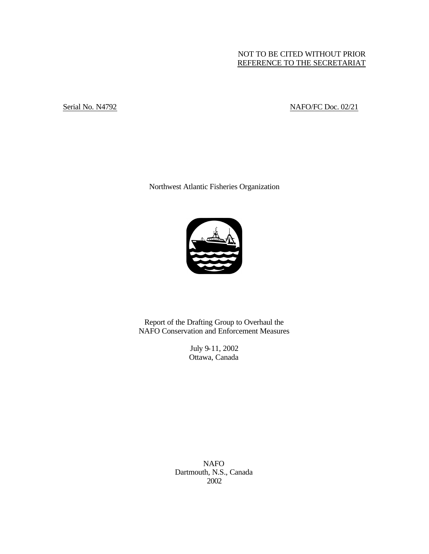# NOT TO BE CITED WITHOUT PRIOR REFERENCE TO THE SECRETARIAT

Serial No. N4792 NAFO/FC Doc. 02/21

Northwest Atlantic Fisheries Organization



Report of the Drafting Group to Overhaul the NAFO Conservation and Enforcement Measures

> July 9-11, 2002 Ottawa, Canada

NAFO Dartmouth, N.S., Canada 2002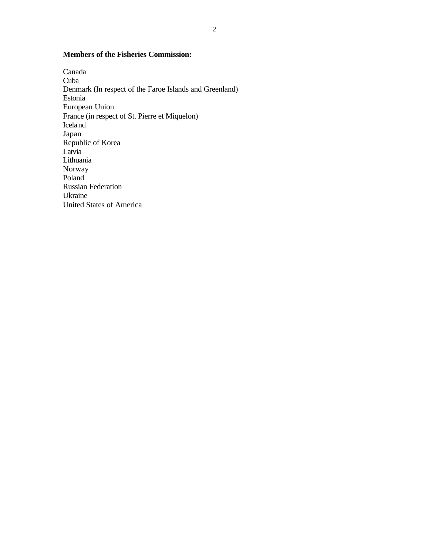# **Members of the Fisheries Commission:**

Canada Cuba Denmark (In respect of the Faroe Islands and Greenland) Estonia European Union France (in respect of St. Pierre et Miquelon) Iceland Japan Republic of Korea Latvia Lithuania Norway Poland Russian Federation Ukraine United States of America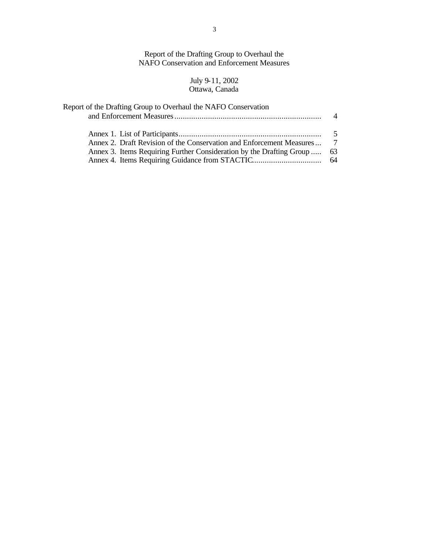Report of the Drafting Group to Overhaul the NAFO Conservation and Enforcement Measures

#### July 9-11, 2002 Ottawa, Canada

| Report of the Drafting Group to Overhaul the NAFO Conservation                                                                                     | $\Delta$ |
|----------------------------------------------------------------------------------------------------------------------------------------------------|----------|
| Annex 2. Draft Revision of the Conservation and Enforcement Measures 7<br>Annex 3. Items Requiring Further Consideration by the Drafting Group  63 | - 5      |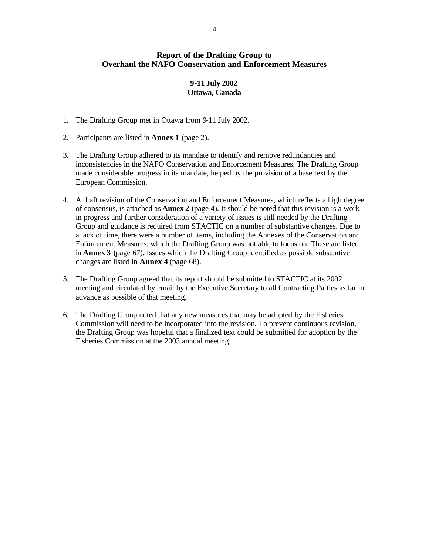# **Report of the Drafting Group to Overhaul the NAFO Conservation and Enforcement Measures**

# **9-11 July 2002 Ottawa, Canada**

- 1. The Drafting Group met in Ottawa from 9-11 July 2002.
- 2. Participants are listed in **Annex 1** (page 2).
- 3. The Drafting Group adhered to its mandate to identify and remove redundancies and inconsistencies in the NAFO Conservation and Enforcement Measures. The Drafting Group made considerable progress in its mandate, helped by the provision of a base text by the European Commission.
- 4. A draft revision of the Conservation and Enforcement Measures, which reflects a high degree of consensus, is attached as **Annex 2** (page 4). It should be noted that this revision is a work in progress and further consideration of a variety of issues is still needed by the Drafting Group and guidance is required from STACTIC on a number of substantive changes. Due to a lack of time, there were a number of items, including the Annexes of the Conservation and Enforcement Measures, which the Drafting Group was not able to focus on. These are listed in **Annex 3** (page 67). Issues which the Drafting Group identified as possible substantive changes are listed in **Annex 4** (page 68).
- 5. The Drafting Group agreed that its report should be submitted to STACTIC at its 2002 meeting and circulated by email by the Executive Secretary to all Contracting Parties as far in advance as possible of that meeting.
- 6. The Drafting Group noted that any new measures that may be adopted by the Fisheries Commission will need to be incorporated into the revision. To prevent continuous revision, the Drafting Group was hopeful that a finalized text could be submitted for adoption by the Fisheries Commission at the 2003 annual meeting.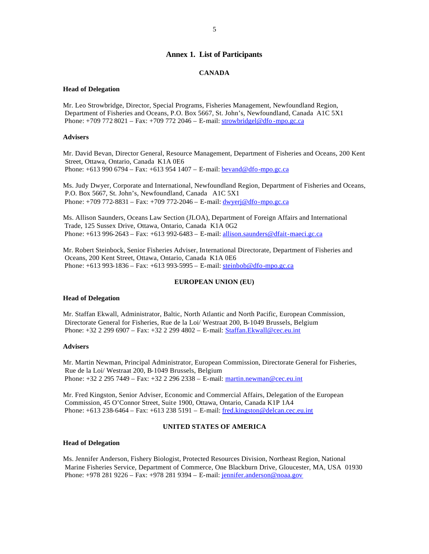#### **Annex 1. List of Participants**

#### **CANADA**

#### **Head of Delegation**

Mr. Leo Strowbridge, Director, Special Programs, Fisheries Management, Newfoundland Region, Department of Fisheries and Oceans, P.O. Box 5667, St. John's, Newfoundland, Canada A1C 5X1 Phone: +709 772 8021 – Fax: +709 772 2046 – E-mail: strowbridgel@dfo -mpo.gc.ca

#### **Advisers**

Mr. David Bevan, Director General, Resource Management, Department of Fisheries and Oceans, 200 Kent Street, Ottawa, Ontario, Canada K1A 0E6 Phone: +613 990 6794 – Fax: +613 954 1407 – E-mail: **bevand@dfo-mpo.gc.ca** 

Ms. Judy Dwyer, Corporate and International, Newfoundland Region, Department of Fisheries and Oceans, P.O. Box 5667, St. John's, Newfoundland, Canada A1C 5X1 Phone: +709 772-8831 – Fax: +709 772-2046 – E-mail: dwyerj@dfo-mpo.gc.ca

Ms. Allison Saunders, Oceans Law Section (JLOA), Department of Foreign Affairs and International Trade, 125 Sussex Drive, Ottawa, Ontario, Canada K1A 0G2 Phone: +613 996-2643 – Fax: +613 992-6483 – E-mail: allison.saunders@dfait-maeci.gc.ca

Mr. Robert Steinbock, Senior Fisheries Adviser, International Directorate, Department of Fisheries and Oceans, 200 Kent Street, Ottawa, Ontario, Canada K1A 0E6 Phone: +613 993-1836 – Fax: +613 993-5995 – E-mail: steinbob@dfo-mpo.gc.ca

#### **EUROPEAN UNION (EU)**

#### **Head of Delegation**

Mr. Staffan Ekwall, Administrator, Baltic, North Atlantic and North Pacific, European Commission, Directorate General for Fisheries, Rue de la Loi/ Westraat 200, B-1049 Brussels, Belgium Phone: +32 2 299 6907 – Fax: +32 2 299 4802 – E-mail: Staffan.Ekwall@cec.eu.int

#### **Advisers**

Mr. Martin Newman, Principal Administrator, European Commission, Directorate General for Fisheries, Rue de la Loi/ Westraat 200, B-1049 Brussels, Belgium Phone: +32 2 295 7449 – Fax: +32 2 296 2338 – E-mail: martin.newman@cec.eu.int

Mr. Fred Kingston, Senior Adviser, Economic and Commercial Affairs, Delegation of the European Commission, 45 O'Connor Street, Suite 1900, Ottawa, Ontario, Canada K1P 1A4 Phone: +613 238-6464 – Fax: +613 238 5191 – E-mail: fred.kingston@delcan.cec.eu.int

#### **UNITED STATES OF AMERICA**

#### **Head of Delegation**

Ms. Jennifer Anderson, Fishery Biologist, Protected Resources Division, Northeast Region, National Marine Fisheries Service, Department of Commerce, One Blackburn Drive, Gloucester, MA, USA 01930 Phone: +978 281 9226 – Fax: +978 281 9394 – E-mail: jennifer.anderson@noaa.gov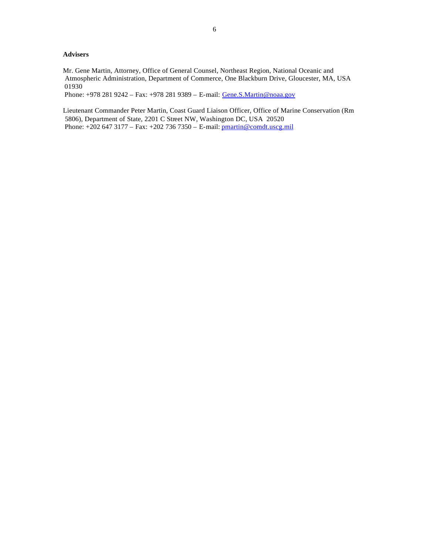#### **Advisers**

Mr. Gene Martin, Attorney, Office of General Counsel, Northeast Region, National Oceanic and Atmospheric Administration, Department of Commerce, One Blackburn Drive, Gloucester, MA, USA 01930

Phone: +978 281 9242 – Fax: +978 281 9389 – E-mail: Gene.S.Martin@noaa.gov

Lieutenant Commander Peter Martin, Coast Guard Liaison Officer, Office of Marine Conservation (Rm 5806), Department of State, 2201 C Street NW, Washington DC, USA 20520 Phone: +202 647 3177 – Fax: +202 736 7350 – E-mail: pmartin@comdt.uscg.mil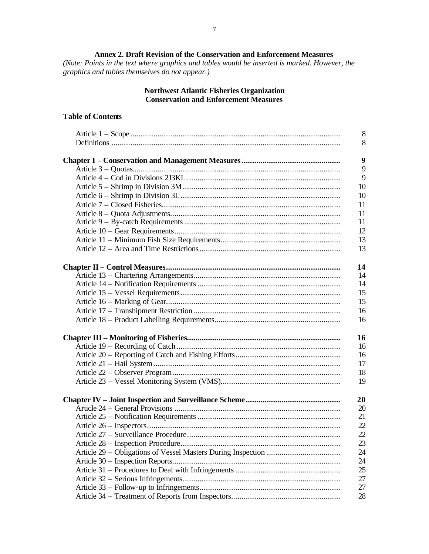**Annex 2. Draft Revision of the Conservation and Enforcement Measures** *(Note: Points in the text where graphics and tables would be inserted is marked. However, the graphics and tables themselves do not appear.)*

# **Northwest Atlantic Fisheries Organization Conservation and Enforcement Measures**

# **Table of Contents**

|                                   | 8  |
|-----------------------------------|----|
|                                   | 8  |
|                                   |    |
|                                   | 9  |
|                                   | 9  |
|                                   | 9  |
|                                   | 10 |
|                                   | 10 |
|                                   | 11 |
|                                   | 11 |
|                                   | 11 |
|                                   | 12 |
|                                   | 13 |
|                                   | 13 |
|                                   | 14 |
|                                   | 14 |
|                                   | 14 |
|                                   | 15 |
|                                   | 15 |
|                                   | 16 |
|                                   | 16 |
|                                   | 16 |
|                                   | 16 |
|                                   | 16 |
|                                   | 17 |
|                                   | 18 |
|                                   | 19 |
|                                   | 20 |
|                                   | 20 |
|                                   | 21 |
|                                   | 22 |
|                                   | 22 |
| Article 28 - Inspection Procedure | 23 |
|                                   | 24 |
|                                   | 24 |
|                                   | 25 |
|                                   | 27 |
|                                   | 27 |
|                                   | 28 |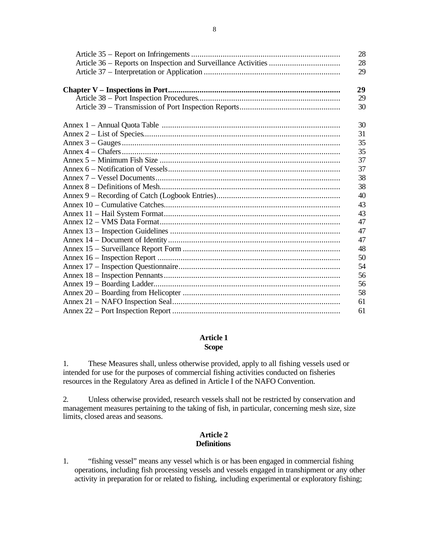| 28<br>28<br>29 |
|----------------|
| 29             |
| 29             |
| 30             |
| 30             |
| 31             |
| 35             |
| 35             |
| 37             |
| 37             |
| 38             |
| 38             |
| 40             |
| 43             |
| 43             |
| 47             |
| 47             |
| 47             |
| 48             |
| 50             |
| 54             |
| 56             |
| 56             |
| 58             |
| 61             |
| 61             |

## **Article 1 Scope**

1. These Measures shall, unless otherwise provided, apply to all fishing vessels used or intended for use for the purposes of commercial fishing activities conducted on fisheries resources in the Regulatory Area as defined in Article I of the NAFO Convention.

2. Unless otherwise provided, research vessels shall not be restricted by conservation and management measures pertaining to the taking of fish, in particular, concerning mesh size, size limits, closed areas and seasons.

# **Article 2 Definitions**

1. "fishing vessel" means any vessel which is or has been engaged in commercial fishing operations, including fish processing vessels and vessels engaged in transhipment or any other activity in preparation for or related to fishing, including experimental or exploratory fishing;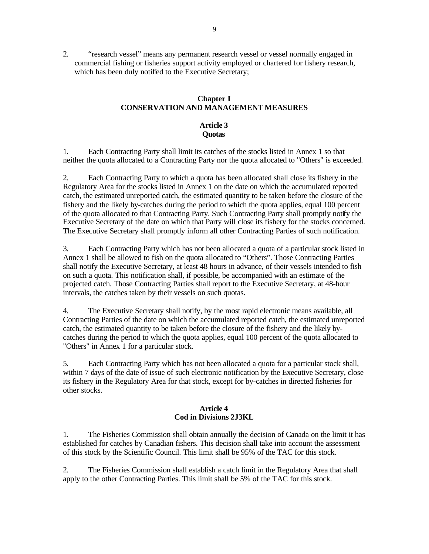2. "research vessel" means any permanent research vessel or vessel normally engaged in commercial fishing or fisheries support activity employed or chartered for fishery research, which has been duly notified to the Executive Secretary;

# **Chapter I CONSERVATION AND MANAGEMENT MEASURES**

# **Article 3 Quotas**

1. Each Contracting Party shall limit its catches of the stocks listed in Annex 1 so that neither the quota allocated to a Contracting Party nor the quota allocated to "Others" is exceeded.

2. Each Contracting Party to which a quota has been allocated shall close its fishery in the Regulatory Area for the stocks listed in Annex 1 on the date on which the accumulated reported catch, the estimated unreported catch, the estimated quantity to be taken before the closure of the fishery and the likely by-catches during the period to which the quota applies, equal 100 percent of the quota allocated to that Contracting Party. Such Contracting Party shall promptly notify the Executive Secretary of the date on which that Party will close its fishery for the stocks concerned. The Executive Secretary shall promptly inform all other Contracting Parties of such notification.

3. Each Contracting Party which has not been allocated a quota of a particular stock listed in Annex 1 shall be allowed to fish on the quota allocated to "Others". Those Contracting Parties shall notify the Executive Secretary, at least 48 hours in advance, of their vessels intended to fish on such a quota. This notification shall, if possible, be accompanied with an estimate of the projected catch. Those Contracting Parties shall report to the Executive Secretary, at 48-hour intervals, the catches taken by their vessels on such quotas.

4. The Executive Secretary shall notify, by the most rapid electronic means available, all Contracting Parties of the date on which the accumulated reported catch, the estimated unreported catch, the estimated quantity to be taken before the closure of the fishery and the likely bycatches during the period to which the quota applies, equal 100 percent of the quota allocated to "Others" in Annex 1 for a particular stock.

5. Each Contracting Party which has not been allocated a quota for a particular stock shall, within 7 days of the date of issue of such electronic notification by the Executive Secretary, close its fishery in the Regulatory Area for that stock, except for by-catches in directed fisheries for other stocks.

## **Article 4 Cod in Divisions 2J3KL**

1. The Fisheries Commission shall obtain annually the decision of Canada on the limit it has established for catches by Canadian fishers. This decision shall take into account the assessment of this stock by the Scientific Council. This limit shall be 95% of the TAC for this stock.

2. The Fisheries Commission shall establish a catch limit in the Regulatory Area that shall apply to the other Contracting Parties. This limit shall be 5% of the TAC for this stock.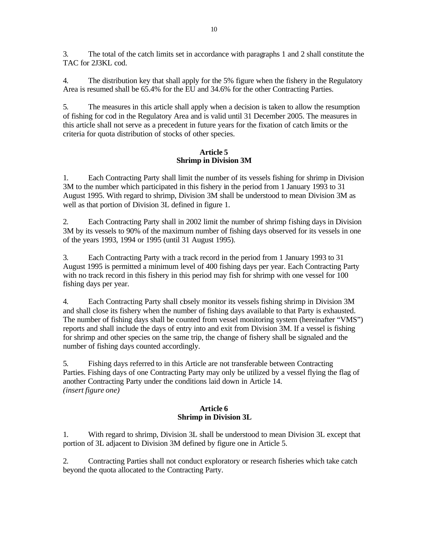3. The total of the catch limits set in accordance with paragraphs 1 and 2 shall constitute the TAC for 2J3KL cod.

4. The distribution key that shall apply for the 5% figure when the fishery in the Regulatory Area is resumed shall be 65.4% for the EU and 34.6% for the other Contracting Parties.

5. The measures in this article shall apply when a decision is taken to allow the resumption of fishing for cod in the Regulatory Area and is valid until 31 December 2005. The measures in this article shall not serve as a precedent in future years for the fixation of catch limits or the criteria for quota distribution of stocks of other species.

## **Article 5 Shrimp in Division 3M**

1. Each Contracting Party shall limit the number of its vessels fishing for shrimp in Division 3M to the number which participated in this fishery in the period from 1 January 1993 to 31 August 1995. With regard to shrimp, Division 3M shall be understood to mean Division 3M as well as that portion of Division 3L defined in figure 1.

2. Each Contracting Party shall in 2002 limit the number of shrimp fishing days in Division 3M by its vessels to 90% of the maximum number of fishing days observed for its vessels in one of the years 1993, 1994 or 1995 (until 31 August 1995).

3. Each Contracting Party with a track record in the period from 1 January 1993 to 31 August 1995 is permitted a minimum level of 400 fishing days per year. Each Contracting Party with no track record in this fishery in this period may fish for shrimp with one vessel for 100 fishing days per year.

4. Each Contracting Party shall cheely monitor its vessels fishing shrimp in Division 3M and shall close its fishery when the number of fishing days available to that Party is exhausted. The number of fishing days shall be counted from vessel monitoring system (hereinafter "VMS") reports and shall include the days of entry into and exit from Division 3M. If a vessel is fishing for shrimp and other species on the same trip, the change of fishery shall be signaled and the number of fishing days counted accordingly.

5. Fishing days referred to in this Article are not transferable between Contracting Parties. Fishing days of one Contracting Party may only be utilized by a vessel flying the flag of another Contracting Party under the conditions laid down in Article 14. *(insert figure one)*

## **Article 6 Shrimp in Division 3L**

1. With regard to shrimp, Division 3L shall be understood to mean Division 3L except that portion of 3L adjacent to Division 3M defined by figure one in Article 5.

2. Contracting Parties shall not conduct exploratory or research fisheries which take catch beyond the quota allocated to the Contracting Party.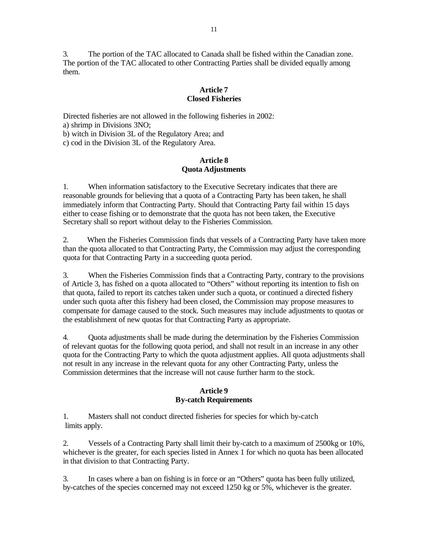3. The portion of the TAC allocated to Canada shall be fished within the Canadian zone. The portion of the TAC allocated to other Contracting Parties shall be divided equally among them.

## **Article 7 Closed Fisheries**

Directed fisheries are not allowed in the following fisheries in 2002: a) shrimp in Divisions 3NO;

b) witch in Division 3L of the Regulatory Area; and

c) cod in the Division 3L of the Regulatory Area.

## **Article 8 Quota Adjustments**

1. When information satisfactory to the Executive Secretary indicates that there are reasonable grounds for believing that a quota of a Contracting Party has been taken, he shall immediately inform that Contracting Party. Should that Contracting Party fail within 15 days either to cease fishing or to demonstrate that the quota has not been taken, the Executive Secretary shall so report without delay to the Fisheries Commission.

2. When the Fisheries Commission finds that vessels of a Contracting Party have taken more than the quota allocated to that Contracting Party, the Commission may adjust the corresponding quota for that Contracting Party in a succeeding quota period.

3. When the Fisheries Commission finds that a Contracting Party, contrary to the provisions of Article 3, has fished on a quota allocated to "Others" without reporting its intention to fish on that quota, failed to report its catches taken under such a quota, or continued a directed fishery under such quota after this fishery had been closed, the Commission may propose measures to compensate for damage caused to the stock. Such measures may include adjustments to quotas or the establishment of new quotas for that Contracting Party as appropriate.

4. Quota adjustments shall be made during the determination by the Fisheries Commission of relevant quotas for the following quota period, and shall not result in an increase in any other quota for the Contracting Party to which the quota adjustment applies. All quota adjustments shall not result in any increase in the relevant quota for any other Contracting Party, unless the Commission determines that the increase will not cause further harm to the stock.

## **Article 9 By-catch Requirements**

1. Masters shall not conduct directed fisheries for species for which by-catch limits apply.

2. Vessels of a Contracting Party shall limit their by-catch to a maximum of 2500kg or 10%, whichever is the greater, for each species listed in Annex 1 for which no quota has been allocated in that division to that Contracting Party.

3. In cases where a ban on fishing is in force or an "Others" quota has been fully utilized, by-catches of the species concerned may not exceed 1250 kg or 5%, whichever is the greater.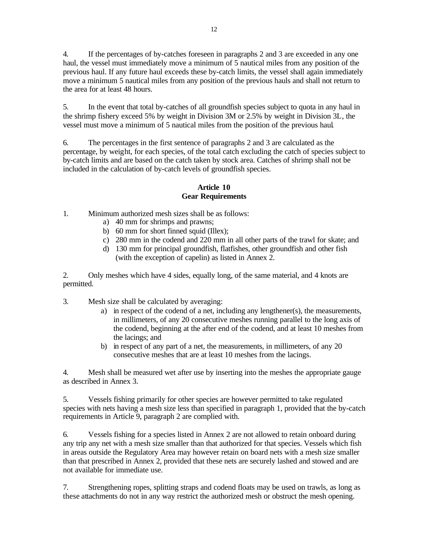4. If the percentages of by-catches foreseen in paragraphs 2 and 3 are exceeded in any one haul, the vessel must immediately move a minimum of 5 nautical miles from any position of the previous haul. If any future haul exceeds these by-catch limits, the vessel shall again immediately move a minimum 5 nautical miles from any position of the previous hauls and shall not return to the area for at least 48 hours.

5. In the event that total by-catches of all groundfish species subject to quota in any haul in the shrimp fishery exceed 5% by weight in Division 3M or 2.5% by weight in Division 3L, the vessel must move a minimum of 5 nautical miles from the position of the previous haul.

6. The percentages in the first sentence of paragraphs 2 and 3 are calculated as the percentage, by weight, for each species, of the total catch excluding the catch of species subject to by-catch limits and are based on the catch taken by stock area. Catches of shrimp shall not be included in the calculation of by-catch levels of groundfish species.

## **Article 10 Gear Requirements**

- 1. Minimum authorized mesh sizes shall be as follows:
	- a) 40 mm for shrimps and prawns;
	- b) 60 mm for short finned squid (Illex);
	- c) 280 mm in the codend and 220 mm in all other parts of the trawl for skate; and
	- d) 130 mm for principal groundfish, flatfishes, other groundfish and other fish (with the exception of capelin) as listed in Annex 2.

2. Only meshes which have 4 sides, equally long, of the same material, and 4 knots are permitted.

- 3. Mesh size shall be calculated by averaging:
	- a) in respect of the codend of a net, including any lengthener(s), the measurements, in millimeters, of any 20 consecutive meshes running parallel to the long axis of the codend, beginning at the after end of the codend, and at least 10 meshes from the lacings; and
	- b) in respect of any part of a net, the measurements, in millimeters, of any 20 consecutive meshes that are at least 10 meshes from the lacings.

4. Mesh shall be measured wet after use by inserting into the meshes the appropriate gauge as described in Annex 3.

5. Vessels fishing primarily for other species are however permitted to take regulated species with nets having a mesh size less than specified in paragraph 1, provided that the by-catch requirements in Article 9, paragraph 2 are complied with.

6. Vessels fishing for a species listed in Annex 2 are not allowed to retain onboard during any trip any net with a mesh size smaller than that authorized for that species. Vessels which fish in areas outside the Regulatory Area may however retain on board nets with a mesh size smaller than that prescribed in Annex 2, provided that these nets are securely lashed and stowed and are not available for immediate use.

7. Strengthening ropes, splitting straps and codend floats may be used on trawls, as long as these attachments do not in any way restrict the authorized mesh or obstruct the mesh opening.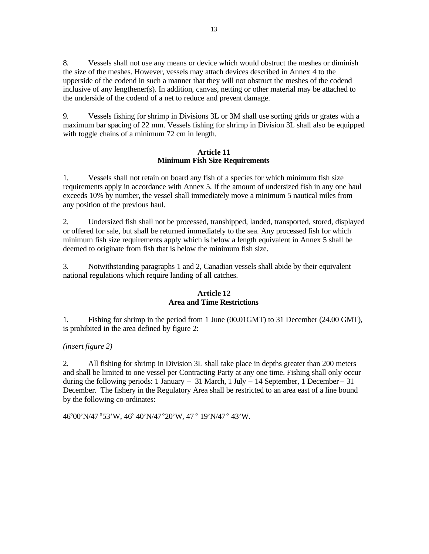8. Vessels shall not use any means or device which would obstruct the meshes or diminish the size of the meshes. However, vessels may attach devices described in Annex 4 to the upperside of the codend in such a manner that they will not obstruct the meshes of the codend inclusive of any lengthener(s). In addition, canvas, netting or other material may be attached to the underside of the codend of a net to reduce and prevent damage.

9. Vessels fishing for shrimp in Divisions 3L or 3M shall use sorting grids or grates with a maximum bar spacing of 22 mm. Vessels fishing for shrimp in Division 3L shall also be equipped with toggle chains of a minimum 72 cm in length.

## **Article 11 Minimum Fish Size Requirements**

1. Vessels shall not retain on board any fish of a species for which minimum fish size requirements apply in accordance with Annex 5. If the amount of undersized fish in any one haul exceeds 10% by number, the vessel shall immediately move a minimum 5 nautical miles from any position of the previous haul.

2. Undersized fish shall not be processed, transhipped, landed, transported, stored, displayed or offered for sale, but shall be returned immediately to the sea. Any processed fish for which minimum fish size requirements apply which is below a length equivalent in Annex 5 shall be deemed to originate from fish that is below the minimum fish size.

3. Notwithstanding paragraphs 1 and 2, Canadian vessels shall abide by their equivalent national regulations which require landing of all catches.

## **Article 12 Area and Time Restrictions**

1. Fishing for shrimp in the period from 1 June (00.01GMT) to 31 December (24.00 GMT), is prohibited in the area defined by figure 2:

*(insert figure 2)*

2. All fishing for shrimp in Division 3L shall take place in depths greater than 200 meters and shall be limited to one vessel per Contracting Party at any one time. Fishing shall only occur during the following periods: 1 January – 31 March, 1 July – 14 September, 1 December – 31 December. The fishery in the Regulatory Area shall be restricted to an area east of a line bound by the following co-ordinates:

46°00'N/47 °53'W, 46° 40'N/47 °20'W, 47 ° 19'N/47 ° 43'W.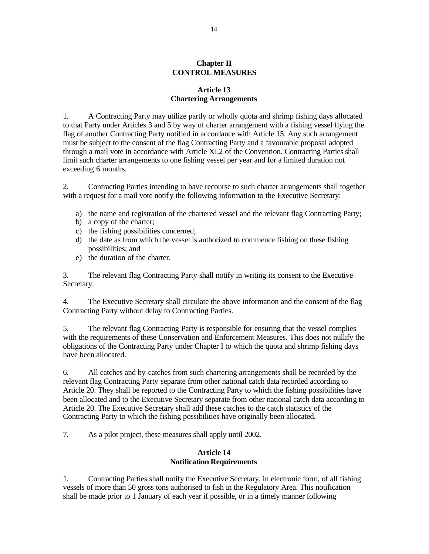## **Chapter II CONTROL MEASURES**

## **Article 13 Chartering Arrangements**

1. A Contracting Party may utilize partly or wholly quota and shrimp fishing days allocated to that Party under Articles 3 and 5 by way of charter arrangement with a fishing vessel flying the flag of another Contracting Party notified in accordance with Article 15. Any such arrangement must be subject to the consent of the flag Contracting Party and a favourable proposal adopted through a mail vote in accordance with Article XI.2 of the Convention. Contracting Parties shall limit such charter arrangements to one fishing vessel per year and for a limited duration not exceeding 6 months.

2. Contracting Parties intending to have recourse to such charter arrangements shall together with a request for a mail vote notify the following information to the Executive Secretary:

- a) the name and registration of the chartered vessel and the relevant flag Contracting Party;
- b) a copy of the charter;
- c) the fishing possibilities concerned;
- d) the date as from which the vessel is authorized to commence fishing on these fishing possibilities; and
- e) the duration of the charter.

3. The relevant flag Contracting Party shall notify in writing its consent to the Executive Secretary.

4. The Executive Secretary shall circulate the above information and the consent of the flag Contracting Party without delay to Contracting Parties.

5. The relevant flag Contracting Party is responsible for ensuring that the vessel complies with the requirements of these Conservation and Enforcement Measures. This does not nullify the obligations of the Contracting Party under Chapter I to which the quota and shrimp fishing days have been allocated.

6. All catches and by-catches from such chartering arrangements shall be recorded by the relevant flag Contracting Party separate from other national catch data recorded according to Article 20. They shall be reported to the Contracting Party to which the fishing possibilities have been allocated and to the Executive Secretary separate from other national catch data according to Article 20. The Executive Secretary shall add these catches to the catch statistics of the Contracting Party to which the fishing possibilities have originally been allocated.

7. As a pilot project, these measures shall apply until 2002.

## **Article 14 Notification Requirements**

1. Contracting Parties shall notify the Executive Secretary, in electronic form, of all fishing vessels of more than 50 gross tons authorised to fish in the Regulatory Area. This notification shall be made prior to 1 January of each year if possible, or in a timely manner following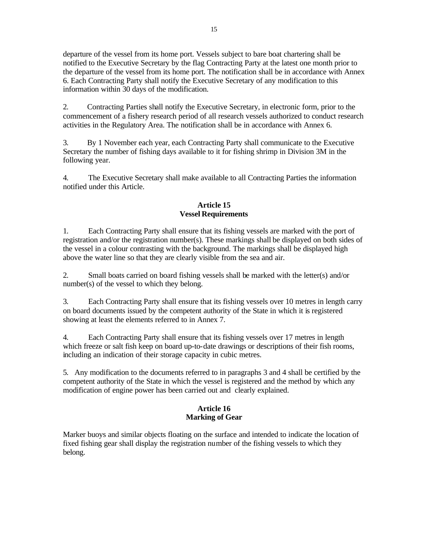departure of the vessel from its home port. Vessels subject to bare boat chartering shall be notified to the Executive Secretary by the flag Contracting Party at the latest one month prior to the departure of the vessel from its home port. The notification shall be in accordance with Annex 6. Each Contracting Party shall notify the Executive Secretary of any modification to this information within 30 days of the modification.

2. Contracting Parties shall notify the Executive Secretary, in electronic form, prior to the commencement of a fishery research period of all research vessels authorized to conduct research activities in the Regulatory Area. The notification shall be in accordance with Annex 6.

3. By 1 November each year, each Contracting Party shall communicate to the Executive Secretary the number of fishing days available to it for fishing shrimp in Division 3M in the following year.

4. The Executive Secretary shall make available to all Contracting Parties the information notified under this Article.

## **Article 15 Vessel Requirements**

1. Each Contracting Party shall ensure that its fishing vessels are marked with the port of registration and/or the registration number(s). These markings shall be displayed on both sides of the vessel in a colour contrasting with the background. The markings shall be displayed high above the water line so that they are clearly visible from the sea and air.

2. Small boats carried on board fishing vessels shall be marked with the letter(s) and/or number(s) of the vessel to which they belong.

3. Each Contracting Party shall ensure that its fishing vessels over 10 metres in length carry on board documents issued by the competent authority of the State in which it is registered showing at least the elements referred to in Annex 7.

4. Each Contracting Party shall ensure that its fishing vessels over 17 metres in length which freeze or salt fish keep on board up-to-date drawings or descriptions of their fish rooms, including an indication of their storage capacity in cubic metres.

5. Any modification to the documents referred to in paragraphs 3 and 4 shall be certified by the competent authority of the State in which the vessel is registered and the method by which any modification of engine power has been carried out and clearly explained.

## **Article 16 Marking of Gear**

Marker buoys and similar objects floating on the surface and intended to indicate the location of fixed fishing gear shall display the registration number of the fishing vessels to which they belong.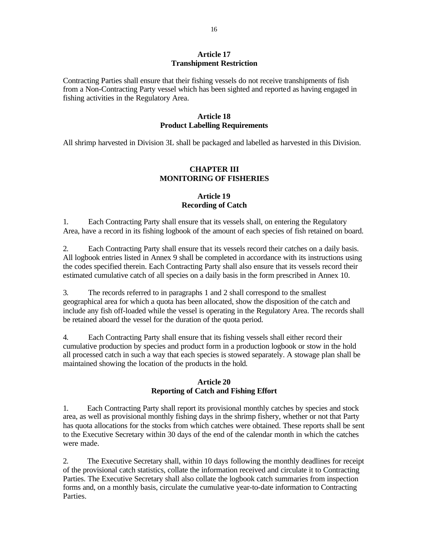#### **Article 17 Transhipment Restriction**

Contracting Parties shall ensure that their fishing vessels do not receive transhipments of fish from a Non-Contracting Party vessel which has been sighted and reported as having engaged in fishing activities in the Regulatory Area.

#### **Article 18 Product Labelling Requirements**

All shrimp harvested in Division 3L shall be packaged and labelled as harvested in this Division.

## **CHAPTER III MONITORING OF FISHERIES**

## **Article 19 Recording of Catch**

1. Each Contracting Party shall ensure that its vessels shall, on entering the Regulatory Area, have a record in its fishing logbook of the amount of each species of fish retained on board.

2. Each Contracting Party shall ensure that its vessels record their catches on a daily basis. All logbook entries listed in Annex 9 shall be completed in accordance with its instructions using the codes specified therein. Each Contracting Party shall also ensure that its vessels record their estimated cumulative catch of all species on a daily basis in the form prescribed in Annex 10.

3. The records referred to in paragraphs 1 and 2 shall correspond to the smallest geographical area for which a quota has been allocated, show the disposition of the catch and include any fish off-loaded while the vessel is operating in the Regulatory Area. The records shall be retained aboard the vessel for the duration of the quota period.

4. Each Contracting Party shall ensure that its fishing vessels shall either record their cumulative production by species and product form in a production logbook or stow in the hold all processed catch in such a way that each species is stowed separately. A stowage plan shall be maintained showing the location of the products in the hold.

## **Article 20 Reporting of Catch and Fishing Effort**

1. Each Contracting Party shall report its provisional monthly catches by species and stock area, as well as provisional monthly fishing days in the shrimp fishery, whether or not that Party has quota allocations for the stocks from which catches were obtained. These reports shall be sent to the Executive Secretary within 30 days of the end of the calendar month in which the catches were made.

2. The Executive Secretary shall, within 10 days following the monthly deadlines for receipt of the provisional catch statistics, collate the information received and circulate it to Contracting Parties. The Executive Secretary shall also collate the logbook catch summaries from inspection forms and, on a monthly basis, circulate the cumulative year-to-date information to Contracting Parties.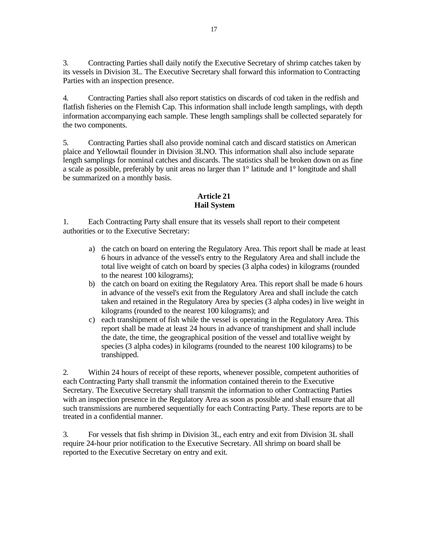3. Contracting Parties shall daily notify the Executive Secretary of shrimp catches taken by its vessels in Division 3L. The Executive Secretary shall forward this information to Contracting Parties with an inspection presence.

4. Contracting Parties shall also report statistics on discards of cod taken in the redfish and flatfish fisheries on the Flemish Cap. This information shall include length samplings, with depth information accompanying each sample. These length samplings shall be collected separately for the two components.

5. Contracting Parties shall also provide nominal catch and discard statistics on American plaice and Yellowtail flounder in Division 3LNO. This information shall also include separate length samplings for nominal catches and discards. The statistics shall be broken down on as fine a scale as possible, preferably by unit areas no larger than 1° latitude and 1° longitude and shall be summarized on a monthly basis.

# **Article 21 Hail System**

1. Each Contracting Party shall ensure that its vessels shall report to their competent authorities or to the Executive Secretary:

- a) the catch on board on entering the Regulatory Area. This report shall be made at least 6 hours in advance of the vessel's entry to the Regulatory Area and shall include the total live weight of catch on board by species (3 alpha codes) in kilograms (rounded to the nearest 100 kilograms);
- b) the catch on board on exiting the Regulatory Area. This report shall be made 6 hours in advance of the vessel's exit from the Regulatory Area and shall include the catch taken and retained in the Regulatory Area by species (3 alpha codes) in live weight in kilograms (rounded to the nearest 100 kilograms); and
- c) each transhipment of fish while the vessel is operating in the Regulatory Area. This report shall be made at least 24 hours in advance of transhipment and shall include the date, the time, the geographical position of the vessel and total live weight by species (3 alpha codes) in kilograms (rounded to the nearest 100 kilograms) to be transhipped.

2. Within 24 hours of receipt of these reports, whenever possible, competent authorities of each Contracting Party shall transmit the information contained therein to the Executive Secretary. The Executive Secretary shall transmit the information to other Contracting Parties with an inspection presence in the Regulatory Area as soon as possible and shall ensure that all such transmissions are numbered sequentially for each Contracting Party. These reports are to be treated in a confidential manner.

3. For vessels that fish shrimp in Division 3L, each entry and exit from Division 3L shall require 24-hour prior notification to the Executive Secretary. All shrimp on board shall be reported to the Executive Secretary on entry and exit.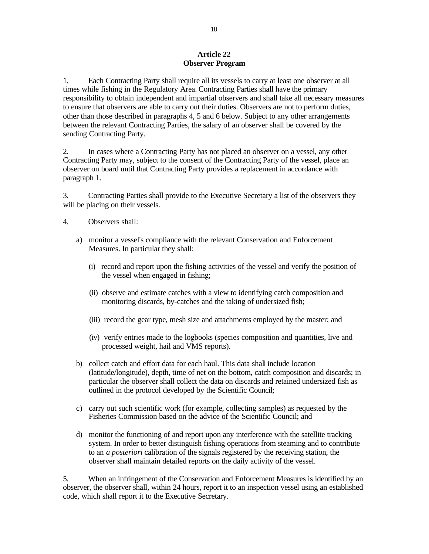## **Article 22 Observer Program**

1. Each Contracting Party shall require all its vessels to carry at least one observer at all times while fishing in the Regulatory Area. Contracting Parties shall have the primary responsibility to obtain independent and impartial observers and shall take all necessary measures to ensure that observers are able to carry out their duties. Observers are not to perform duties, other than those described in paragraphs 4, 5 and 6 below. Subject to any other arrangements between the relevant Contracting Parties, the salary of an observer shall be covered by the sending Contracting Party.

2. In cases where a Contracting Party has not placed an observer on a vessel, any other Contracting Party may, subject to the consent of the Contracting Party of the vessel, place an observer on board until that Contracting Party provides a replacement in accordance with paragraph 1.

3. Contracting Parties shall provide to the Executive Secretary a list of the observers they will be placing on their vessels.

- 4. Observers shall:
	- a) monitor a vessel's compliance with the relevant Conservation and Enforcement Measures. In particular they shall:
		- (i) record and report upon the fishing activities of the vessel and verify the position of the vessel when engaged in fishing;
		- (ii) observe and estimate catches with a view to identifying catch composition and monitoring discards, by-catches and the taking of undersized fish;
		- (iii) record the gear type, mesh size and attachments employed by the master; and
		- (iv) verify entries made to the logbooks (species composition and quantities, live and processed weight, hail and VMS reports).
	- b) collect catch and effort data for each haul. This data shall include location (latitude/longitude), depth, time of net on the bottom, catch composition and discards; in particular the observer shall collect the data on discards and retained undersized fish as outlined in the protocol developed by the Scientific Council;
	- c) carry out such scientific work (for example, collecting samples) as requested by the Fisheries Commission based on the advice of the Scientific Council; and
	- d) monitor the functioning of and report upon any interference with the satellite tracking system. In order to better distinguish fishing operations from steaming and to contribute to an *a posteriori* calibration of the signals registered by the receiving station, the observer shall maintain detailed reports on the daily activity of the vessel.

5. When an infringement of the Conservation and Enforcement Measures is identified by an observer, the observer shall, within 24 hours, report it to an inspection vessel using an established code, which shall report it to the Executive Secretary.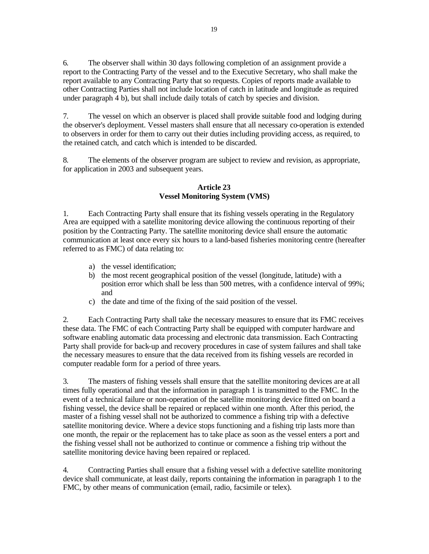6. The observer shall within 30 days following completion of an assignment provide a report to the Contracting Party of the vessel and to the Executive Secretary, who shall make the report available to any Contracting Party that so requests. Copies of reports made available to other Contracting Parties shall not include location of catch in latitude and longitude as required under paragraph 4 b), but shall include daily totals of catch by species and division.

7. The vessel on which an observer is placed shall provide suitable food and lodging during the observer's deployment. Vessel masters shall ensure that all necessary co-operation is extended to observers in order for them to carry out their duties including providing access, as required, to the retained catch, and catch which is intended to be discarded.

8. The elements of the observer program are subject to review and revision, as appropriate, for application in 2003 and subsequent years.

## **Article 23 Vessel Monitoring System (VMS)**

1. Each Contracting Party shall ensure that its fishing vessels operating in the Regulatory Area are equipped with a satellite monitoring device allowing the continuous reporting of their position by the Contracting Party. The satellite monitoring device shall ensure the automatic communication at least once every six hours to a land-based fisheries monitoring centre (hereafter referred to as FMC) of data relating to:

- a) the vessel identification;
- b) the most recent geographical position of the vessel (longitude, latitude) with a position error which shall be less than 500 metres, with a confidence interval of 99%; and
- c) the date and time of the fixing of the said position of the vessel.

2. Each Contracting Party shall take the necessary measures to ensure that its FMC receives these data. The FMC of each Contracting Party shall be equipped with computer hardware and software enabling automatic data processing and electronic data transmission. Each Contracting Party shall provide for back-up and recovery procedures in case of system failures and shall take the necessary measures to ensure that the data received from its fishing vessels are recorded in computer readable form for a period of three years.

3. The masters of fishing vessels shall ensure that the satellite monitoring devices are at all times fully operational and that the information in paragraph 1 is transmitted to the FMC. In the event of a technical failure or non-operation of the satellite monitoring device fitted on board a fishing vessel, the device shall be repaired or replaced within one month. After this period, the master of a fishing vessel shall not be authorized to commence a fishing trip with a defective satellite monitoring device. Where a device stops functioning and a fishing trip lasts more than one month, the repair or the replacement has to take place as soon as the vessel enters a port and the fishing vessel shall not be authorized to continue or commence a fishing trip without the satellite monitoring device having been repaired or replaced.

4. Contracting Parties shall ensure that a fishing vessel with a defective satellite monitoring device shall communicate, at least daily, reports containing the information in paragraph 1 to the FMC, by other means of communication (email, radio, facsimile or telex).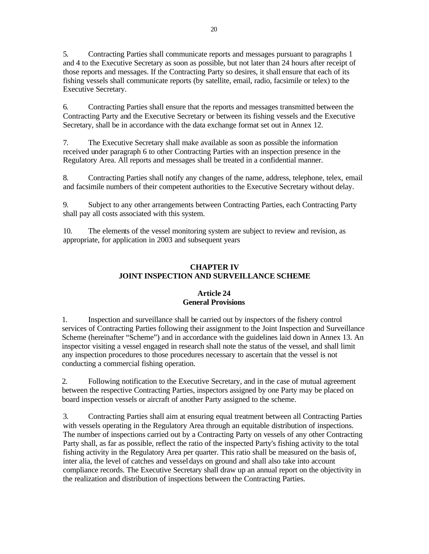5. Contracting Parties shall communicate reports and messages pursuant to paragraphs 1 and 4 to the Executive Secretary as soon as possible, but not later than 24 hours after receipt of those reports and messages. If the Contracting Party so desires, it shall ensure that each of its fishing vessels shall communicate reports (by satellite, email, radio, facsimile or telex) to the Executive Secretary.

6. Contracting Parties shall ensure that the reports and messages transmitted between the Contracting Party and the Executive Secretary or between its fishing vessels and the Executive Secretary, shall be in accordance with the data exchange format set out in Annex 12.

7. The Executive Secretary shall make available as soon as possible the information received under paragraph 6 to other Contracting Parties with an inspection presence in the Regulatory Area. All reports and messages shall be treated in a confidential manner.

8. Contracting Parties shall notify any changes of the name, address, telephone, telex, email and facsimile numbers of their competent authorities to the Executive Secretary without delay.

9. Subject to any other arrangements between Contracting Parties, each Contracting Party shall pay all costs associated with this system.

10. The elements of the vessel monitoring system are subject to review and revision, as appropriate, for application in 2003 and subsequent years

## **CHAPTER IV JOINT INSPECTION AND SURVEILLANCE SCHEME**

## **Article 24 General Provisions**

1. Inspection and surveillance shall be carried out by inspectors of the fishery control services of Contracting Parties following their assignment to the Joint Inspection and Surveillance Scheme (hereinafter "Scheme") and in accordance with the guidelines laid down in Annex 13. An inspector visiting a vessel engaged in research shall note the status of the vessel, and shall limit any inspection procedures to those procedures necessary to ascertain that the vessel is not conducting a commercial fishing operation.

2. Following notification to the Executive Secretary, and in the case of mutual agreement between the respective Contracting Parties, inspectors assigned by one Party may be placed on board inspection vessels or aircraft of another Party assigned to the scheme.

3. Contracting Parties shall aim at ensuring equal treatment between all Contracting Parties with vessels operating in the Regulatory Area through an equitable distribution of inspections. The number of inspections carried out by a Contracting Party on vessels of any other Contracting Party shall, as far as possible, reflect the ratio of the inspected Party's fishing activity to the total fishing activity in the Regulatory Area per quarter. This ratio shall be measured on the basis of, inter alia, the level of catches and vessel days on ground and shall also take into account compliance records. The Executive Secretary shall draw up an annual report on the objectivity in the realization and distribution of inspections between the Contracting Parties.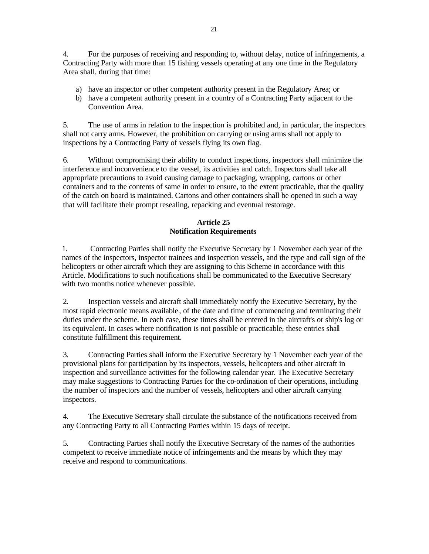4. For the purposes of receiving and responding to, without delay, notice of infringements, a Contracting Party with more than 15 fishing vessels operating at any one time in the Regulatory Area shall, during that time:

- a) have an inspector or other competent authority present in the Regulatory Area; or
- b) have a competent authority present in a country of a Contracting Party adjacent to the Convention Area.

5. The use of arms in relation to the inspection is prohibited and, in particular, the inspectors shall not carry arms. However, the prohibition on carrying or using arms shall not apply to inspections by a Contracting Party of vessels flying its own flag.

6. Without compromising their ability to conduct inspections, inspectors shall minimize the interference and inconvenience to the vessel, its activities and catch. Inspectors shall take all appropriate precautions to avoid causing damage to packaging, wrapping, cartons or other containers and to the contents of same in order to ensure, to the extent practicable, that the quality of the catch on board is maintained. Cartons and other containers shall be opened in such a way that will facilitate their prompt resealing, repacking and eventual restorage.

# **Article 25 Notification Requirements**

1. Contracting Parties shall notify the Executive Secretary by 1 November each year of the names of the inspectors, inspector trainees and inspection vessels, and the type and call sign of the helicopters or other aircraft which they are assigning to this Scheme in accordance with this Article. Modifications to such notifications shall be communicated to the Executive Secretary with two months notice whenever possible.

2. Inspection vessels and aircraft shall immediately notify the Executive Secretary, by the most rapid electronic means available , of the date and time of commencing and terminating their duties under the scheme. In each case, these times shall be entered in the aircraft's or ship's log or its equivalent. In cases where notification is not possible or practicable, these entries shall constitute fulfillment this requirement.

3. Contracting Parties shall inform the Executive Secretary by 1 November each year of the provisional plans for participation by its inspectors, vessels, helicopters and other aircraft in inspection and surveillance activities for the following calendar year. The Executive Secretary may make suggestions to Contracting Parties for the co-ordination of their operations, including the number of inspectors and the number of vessels, helicopters and other aircraft carrying inspectors.

4. The Executive Secretary shall circulate the substance of the notifications received from any Contracting Party to all Contracting Parties within 15 days of receipt.

5. Contracting Parties shall notify the Executive Secretary of the names of the authorities competent to receive immediate notice of infringements and the means by which they may receive and respond to communications.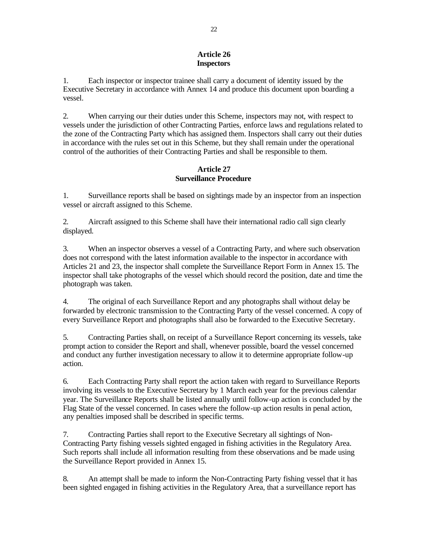## **Article 26 Inspectors**

1. Each inspector or inspector trainee shall carry a document of identity issued by the Executive Secretary in accordance with Annex 14 and produce this document upon boarding a vessel.

2. When carrying our their duties under this Scheme, inspectors may not, with respect to vessels under the jurisdiction of other Contracting Parties, enforce laws and regulations related to the zone of the Contracting Party which has assigned them. Inspectors shall carry out their duties in accordance with the rules set out in this Scheme, but they shall remain under the operational control of the authorities of their Contracting Parties and shall be responsible to them.

## **Article 27 Surveillance Procedure**

1. Surveillance reports shall be based on sightings made by an inspector from an inspection vessel or aircraft assigned to this Scheme.

2. Aircraft assigned to this Scheme shall have their international radio call sign clearly displayed.

3. When an inspector observes a vessel of a Contracting Party, and where such observation does not correspond with the latest information available to the inspector in accordance with Articles 21 and 23, the inspector shall complete the Surveillance Report Form in Annex 15. The inspector shall take photographs of the vessel which should record the position, date and time the photograph was taken.

4. The original of each Surveillance Report and any photographs shall without delay be forwarded by electronic transmission to the Contracting Party of the vessel concerned. A copy of every Surveillance Report and photographs shall also be forwarded to the Executive Secretary.

5. Contracting Parties shall, on receipt of a Surveillance Report concerning its vessels, take prompt action to consider the Report and shall, whenever possible, board the vessel concerned and conduct any further investigation necessary to allow it to determine appropriate follow-up action.

6. Each Contracting Party shall report the action taken with regard to Surveillance Reports involving its vessels to the Executive Secretary by 1 March each year for the previous calendar year. The Surveillance Reports shall be listed annually until follow-up action is concluded by the Flag State of the vessel concerned. In cases where the follow-up action results in penal action, any penalties imposed shall be described in specific terms.

7. Contracting Parties shall report to the Executive Secretary all sightings of Non-Contracting Party fishing vessels sighted engaged in fishing activities in the Regulatory Area. Such reports shall include all information resulting from these observations and be made using the Surveillance Report provided in Annex 15.

8. An attempt shall be made to inform the Non-Contracting Party fishing vessel that it has been sighted engaged in fishing activities in the Regulatory Area, that a surveillance report has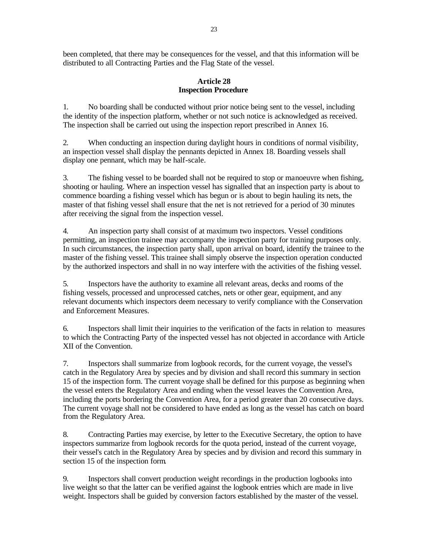been completed, that there may be consequences for the vessel, and that this information will be distributed to all Contracting Parties and the Flag State of the vessel.

## **Article 28 Inspection Procedure**

1. No boarding shall be conducted without prior notice being sent to the vessel, including the identity of the inspection platform, whether or not such notice is acknowledged as received. The inspection shall be carried out using the inspection report prescribed in Annex 16.

2. When conducting an inspection during daylight hours in conditions of normal visibility, an inspection vessel shall display the pennants depicted in Annex 18. Boarding vessels shall display one pennant, which may be half-scale.

3. The fishing vessel to be boarded shall not be required to stop or manoeuvre when fishing, shooting or hauling. Where an inspection vessel has signalled that an inspection party is about to commence boarding a fishing vessel which has begun or is about to begin hauling its nets, the master of that fishing vessel shall ensure that the net is not retrieved for a period of 30 minutes after receiving the signal from the inspection vessel.

4. An inspection party shall consist of at maximum two inspectors. Vessel conditions permitting, an inspection trainee may accompany the inspection party for training purposes only. In such circumstances, the inspection party shall, upon arrival on board, identify the trainee to the master of the fishing vessel. This trainee shall simply observe the inspection operation conducted by the authorized inspectors and shall in no way interfere with the activities of the fishing vessel.

5. Inspectors have the authority to examine all relevant areas, decks and rooms of the fishing vessels, processed and unprocessed catches, nets or other gear, equipment, and any relevant documents which inspectors deem necessary to verify compliance with the Conservation and Enforcement Measures.

6. Inspectors shall limit their inquiries to the verification of the facts in relation to measures to which the Contracting Party of the inspected vessel has not objected in accordance with Article XII of the Convention.

7. Inspectors shall summarize from logbook records, for the current voyage, the vessel's catch in the Regulatory Area by species and by division and shall record this summary in section 15 of the inspection form. The current voyage shall be defined for this purpose as beginning when the vessel enters the Regulatory Area and ending when the vessel leaves the Convention Area, including the ports bordering the Convention Area, for a period greater than 20 consecutive days. The current voyage shall not be considered to have ended as long as the vessel has catch on board from the Regulatory Area.

8. Contracting Parties may exercise, by letter to the Executive Secretary, the option to have inspectors summarize from logbook records for the quota period, instead of the current voyage, their vessel's catch in the Regulatory Area by species and by division and record this summary in section 15 of the inspection form.

9. Inspectors shall convert production weight recordings in the production logbooks into live weight so that the latter can be verified against the logbook entries which are made in live weight. Inspectors shall be guided by conversion factors established by the master of the vessel.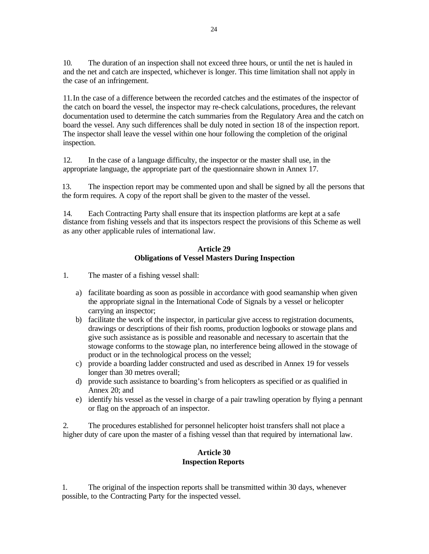10. The duration of an inspection shall not exceed three hours, or until the net is hauled in and the net and catch are inspected, whichever is longer. This time limitation shall not apply in the case of an infringement.

11.In the case of a difference between the recorded catches and the estimates of the inspector of the catch on board the vessel, the inspector may re-check calculations, procedures, the relevant documentation used to determine the catch summaries from the Regulatory Area and the catch on board the vessel. Any such differences shall be duly noted in section 18 of the inspection report. The inspector shall leave the vessel within one hour following the completion of the original inspection.

12. In the case of a language difficulty, the inspector or the master shall use, in the appropriate language, the appropriate part of the questionnaire shown in Annex 17.

13. The inspection report may be commented upon and shall be signed by all the persons that the form requires. A copy of the report shall be given to the master of the vessel.

14. Each Contracting Party shall ensure that its inspection platforms are kept at a safe distance from fishing vessels and that its inspectors respect the provisions of this Scheme as well as any other applicable rules of international law.

## **Article 29 Obligations of Vessel Masters During Inspection**

1. The master of a fishing vessel shall:

- a) facilitate boarding as soon as possible in accordance with good seamanship when given the appropriate signal in the International Code of Signals by a vessel or helicopter carrying an inspector;
- b) facilitate the work of the inspector, in particular give access to registration documents, drawings or descriptions of their fish rooms, production logbooks or stowage plans and give such assistance as is possible and reasonable and necessary to ascertain that the stowage conforms to the stowage plan, no interference being allowed in the stowage of product or in the technological process on the vessel;
- c) provide a boarding ladder constructed and used as described in Annex 19 for vessels longer than 30 metres overall;
- d) provide such assistance to boarding's from helicopters as specified or as qualified in Annex 20; and
- e) identify his vessel as the vessel in charge of a pair trawling operation by flying a pennant or flag on the approach of an inspector.

2. The procedures established for personnel helicopter hoist transfers shall not place a higher duty of care upon the master of a fishing vessel than that required by international law.

## **Article 30 Inspection Reports**

1. The original of the inspection reports shall be transmitted within 30 days, whenever possible, to the Contracting Party for the inspected vessel.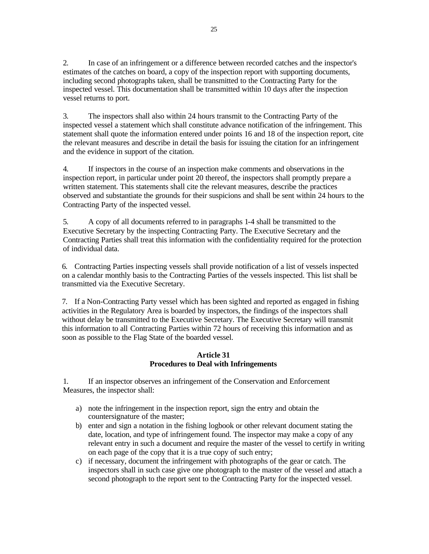2. In case of an infringement or a difference between recorded catches and the inspector's estimates of the catches on board, a copy of the inspection report with supporting documents, including second photographs taken, shall be transmitted to the Contracting Party for the inspected vessel. This documentation shall be transmitted within 10 days after the inspection vessel returns to port.

3. The inspectors shall also within 24 hours transmit to the Contracting Party of the inspected vessel a statement which shall constitute advance notification of the infringement. This statement shall quote the information entered under points 16 and 18 of the inspection report, cite the relevant measures and describe in detail the basis for issuing the citation for an infringement and the evidence in support of the citation.

4. If inspectors in the course of an inspection make comments and observations in the inspection report, in particular under point 20 thereof, the inspectors shall promptly prepare a written statement. This statements shall cite the relevant measures, describe the practices observed and substantiate the grounds for their suspicions and shall be sent within 24 hours to the Contracting Party of the inspected vessel.

5. A copy of all documents referred to in paragraphs 1-4 shall be transmitted to the Executive Secretary by the inspecting Contracting Party. The Executive Secretary and the Contracting Parties shall treat this information with the confidentiality required for the protection of individual data.

6. Contracting Parties inspecting vessels shall provide notification of a list of vessels inspected on a calendar monthly basis to the Contracting Parties of the vessels inspected. This list shall be transmitted via the Executive Secretary.

7. If a Non-Contracting Party vessel which has been sighted and reported as engaged in fishing activities in the Regulatory Area is boarded by inspectors, the findings of the inspectors shall without delay be transmitted to the Executive Secretary. The Executive Secretary will transmit this information to all Contracting Parties within 72 hours of receiving this information and as soon as possible to the Flag State of the boarded vessel.

## **Article 31 Procedures to Deal with Infringements**

1. If an inspector observes an infringement of the Conservation and Enforcement Measures, the inspector shall:

- a) note the infringement in the inspection report, sign the entry and obtain the countersignature of the master;
- b) enter and sign a notation in the fishing logbook or other relevant document stating the date, location, and type of infringement found. The inspector may make a copy of any relevant entry in such a document and require the master of the vessel to certify in writing on each page of the copy that it is a true copy of such entry;
- c) if necessary, document the infringement with photographs of the gear or catch. The inspectors shall in such case give one photograph to the master of the vessel and attach a second photograph to the report sent to the Contracting Party for the inspected vessel.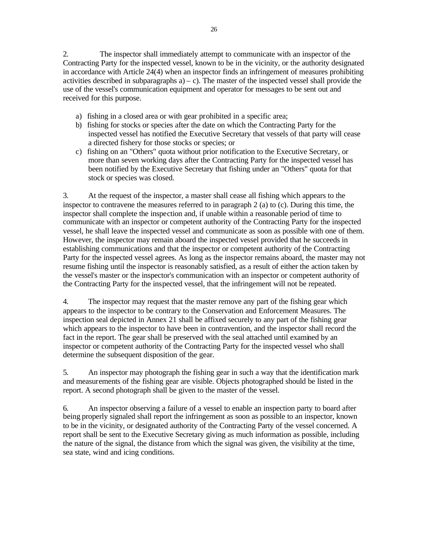2. The inspector shall immediately attempt to communicate with an inspector of the Contracting Party for the inspected vessel, known to be in the vicinity, or the authority designated in accordance with Article 24(4) when an inspector finds an infringement of measures prohibiting activities described in subparagraphs  $a$ ) – c). The master of the inspected vessel shall provide the use of the vessel's communication equipment and operator for messages to be sent out and received for this purpose.

- a) fishing in a closed area or with gear prohibited in a specific area;
- b) fishing for stocks or species after the date on which the Contracting Party for the inspected vessel has notified the Executive Secretary that vessels of that party will cease a directed fishery for those stocks or species; or
- c) fishing on an "Others" quota without prior notification to the Executive Secretary, or more than seven working days after the Contracting Party for the inspected vessel has been notified by the Executive Secretary that fishing under an "Others" quota for that stock or species was closed.

3. At the request of the inspector, a master shall cease all fishing which appears to the inspector to contravene the measures referred to in paragraph 2 (a) to (c). During this time, the inspector shall complete the inspection and, if unable within a reasonable period of time to communicate with an inspector or competent authority of the Contracting Party for the inspected vessel, he shall leave the inspected vessel and communicate as soon as possible with one of them. However, the inspector may remain aboard the inspected vessel provided that he succeeds in establishing communications and that the inspector or competent authority of the Contracting Party for the inspected vessel agrees. As long as the inspector remains aboard, the master may not resume fishing until the inspector is reasonably satisfied, as a result of either the action taken by the vessel's master or the inspector's communication with an inspector or competent authority of the Contracting Party for the inspected vessel, that the infringement will not be repeated.

4. The inspector may request that the master remove any part of the fishing gear which appears to the inspector to be contrary to the Conservation and Enforcement Measures. The inspection seal depicted in Annex 21 shall be affixed securely to any part of the fishing gear which appears to the inspector to have been in contravention, and the inspector shall record the fact in the report. The gear shall be preserved with the seal attached until examined by an inspector or competent authority of the Contracting Party for the inspected vessel who shall determine the subsequent disposition of the gear.

5. An inspector may photograph the fishing gear in such a way that the identification mark and measurements of the fishing gear are visible. Objects photographed should be listed in the report. A second photograph shall be given to the master of the vessel.

6. An inspector observing a failure of a vessel to enable an inspection party to board after being properly signaled shall report the infringement as soon as possible to an inspector, known to be in the vicinity, or designated authority of the Contracting Party of the vessel concerned. A report shall be sent to the Executive Secretary giving as much information as possible, including the nature of the signal, the distance from which the signal was given, the visibility at the time, sea state, wind and icing conditions.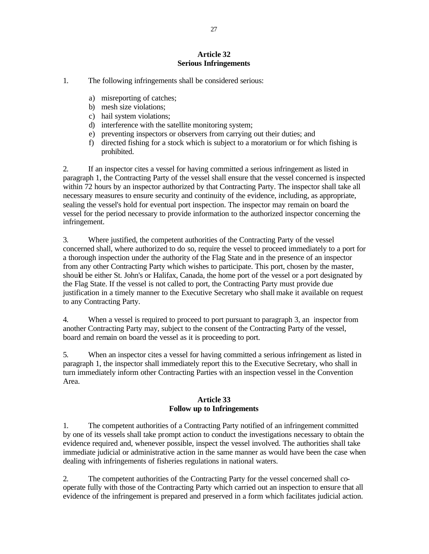## **Article 32 Serious Infringements**

1. The following infringements shall be considered serious:

- a) misreporting of catches;
- b) mesh size violations;
- c) hail system violations;
- d) interference with the satellite monitoring system;
- e) preventing inspectors or observers from carrying out their duties; and
- f) directed fishing for a stock which is subject to a moratorium or for which fishing is prohibited.

2. If an inspector cites a vessel for having committed a serious infringement as listed in paragraph 1, the Contracting Party of the vessel shall ensure that the vessel concerned is inspected within 72 hours by an inspector authorized by that Contracting Party. The inspector shall take all necessary measures to ensure security and continuity of the evidence, including, as appropriate, sealing the vessel's hold for eventual port inspection. The inspector may remain on board the vessel for the period necessary to provide information to the authorized inspector concerning the infringement.

3. Where justified, the competent authorities of the Contracting Party of the vessel concerned shall, where authorized to do so, require the vessel to proceed immediately to a port for a thorough inspection under the authority of the Flag State and in the presence of an inspector from any other Contracting Party which wishes to participate. This port, chosen by the master, should be either St. John's or Halifax, Canada, the home port of the vessel or a port designated by the Flag State. If the vessel is not called to port, the Contracting Party must provide due justification in a timely manner to the Executive Secretary who shall make it available on request to any Contracting Party.

4. When a vessel is required to proceed to port pursuant to paragraph 3, an inspector from another Contracting Party may, subject to the consent of the Contracting Party of the vessel, board and remain on board the vessel as it is proceeding to port.

5. When an inspector cites a vessel for having committed a serious infringement as listed in paragraph 1, the inspector shall immediately report this to the Executive Secretary, who shall in turn immediately inform other Contracting Parties with an inspection vessel in the Convention Area.

## **Article 33 Follow up to Infringements**

1. The competent authorities of a Contracting Party notified of an infringement committed by one of its vessels shall take prompt action to conduct the investigations necessary to obtain the evidence required and, whenever possible, inspect the vessel involved. The authorities shall take immediate judicial or administrative action in the same manner as would have been the case when dealing with infringements of fisheries regulations in national waters.

2. The competent authorities of the Contracting Party for the vessel concerned shall cooperate fully with those of the Contracting Party which carried out an inspection to ensure that all evidence of the infringement is prepared and preserved in a form which facilitates judicial action.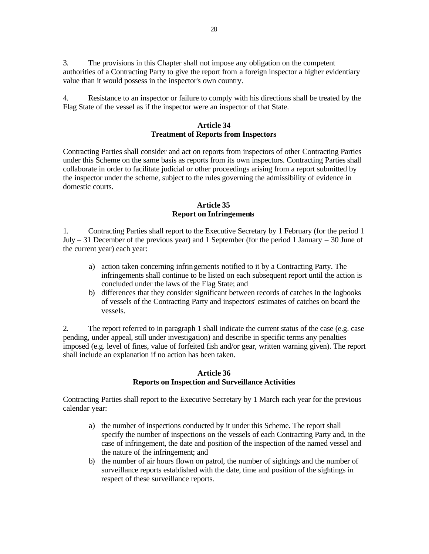3. The provisions in this Chapter shall not impose any obligation on the competent authorities of a Contracting Party to give the report from a foreign inspector a higher evidentiary value than it would possess in the inspector's own country.

4. Resistance to an inspector or failure to comply with his directions shall be treated by the Flag State of the vessel as if the inspector were an inspector of that State.

## **Article 34 Treatment of Reports from Inspectors**

Contracting Parties shall consider and act on reports from inspectors of other Contracting Parties under this Scheme on the same basis as reports from its own inspectors. Contracting Parties shall collaborate in order to facilitate judicial or other proceedings arising from a report submitted by the inspector under the scheme, subject to the rules governing the admissibility of evidence in domestic courts.

## **Article 35 Report on Infringements**

1. Contracting Parties shall report to the Executive Secretary by 1 February (for the period 1 July – 31 December of the previous year) and 1 September (for the period 1 January – 30 June of the current year) each year:

- a) action taken concerning infringements notified to it by a Contracting Party. The infringements shall continue to be listed on each subsequent report until the action is concluded under the laws of the Flag State; and
- b) differences that they consider significant between records of catches in the logbooks of vessels of the Contracting Party and inspectors' estimates of catches on board the vessels.

2. The report referred to in paragraph 1 shall indicate the current status of the case (e.g. case pending, under appeal, still under investigation) and describe in specific terms any penalties imposed (e.g. level of fines, value of forfeited fish and/or gear, written warning given). The report shall include an explanation if no action has been taken.

## **Article 36 Reports on Inspection and Surveillance Activities**

Contracting Parties shall report to the Executive Secretary by 1 March each year for the previous calendar year:

- a) the number of inspections conducted by it under this Scheme. The report shall specify the number of inspections on the vessels of each Contracting Party and, in the case of infringement, the date and position of the inspection of the named vessel and the nature of the infringement; and
- b) the number of air hours flown on patrol, the number of sightings and the number of surveillance reports established with the date, time and position of the sightings in respect of these surveillance reports.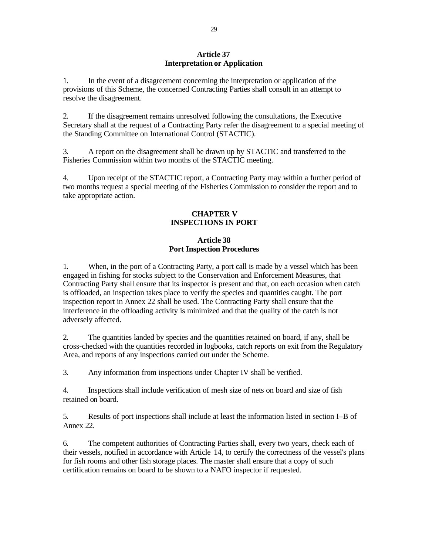## **Article 37 Interpretation or Application**

1. In the event of a disagreement concerning the interpretation or application of the provisions of this Scheme, the concerned Contracting Parties shall consult in an attempt to resolve the disagreement.

2. If the disagreement remains unresolved following the consultations, the Executive Secretary shall at the request of a Contracting Party refer the disagreement to a special meeting of the Standing Committee on International Control (STACTIC).

3. A report on the disagreement shall be drawn up by STACTIC and transferred to the Fisheries Commission within two months of the STACTIC meeting.

4. Upon receipt of the STACTIC report, a Contracting Party may within a further period of two months request a special meeting of the Fisheries Commission to consider the report and to take appropriate action.

## **CHAPTER V INSPECTIONS IN PORT**

## **Article 38 Port Inspection Procedures**

1. When, in the port of a Contracting Party, a port call is made by a vessel which has been engaged in fishing for stocks subject to the Conservation and Enforcement Measures, that Contracting Party shall ensure that its inspector is present and that, on each occasion when catch is offloaded, an inspection takes place to verify the species and quantities caught. The port inspection report in Annex 22 shall be used. The Contracting Party shall ensure that the interference in the offloading activity is minimized and that the quality of the catch is not adversely affected.

2. The quantities landed by species and the quantities retained on board, if any, shall be cross-checked with the quantities recorded in logbooks, catch reports on exit from the Regulatory Area, and reports of any inspections carried out under the Scheme.

3. Any information from inspections under Chapter IV shall be verified.

4. Inspections shall include verification of mesh size of nets on board and size of fish retained on board.

5. Results of port inspections shall include at least the information listed in section I–B of Annex 22.

6. The competent authorities of Contracting Parties shall, every two years, check each of their vessels, notified in accordance with Article 14, to certify the correctness of the vessel's plans for fish rooms and other fish storage places. The master shall ensure that a copy of such certification remains on board to be shown to a NAFO inspector if requested.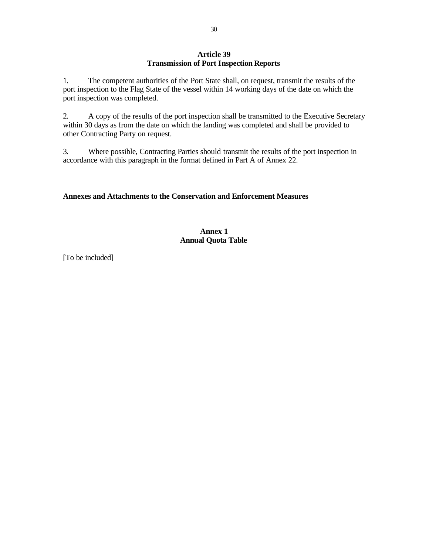## **Article 39 Transmission of Port Inspection Reports**

1. The competent authorities of the Port State shall, on request, transmit the results of the port inspection to the Flag State of the vessel within 14 working days of the date on which the port inspection was completed.

2. A copy of the results of the port inspection shall be transmitted to the Executive Secretary within 30 days as from the date on which the landing was completed and shall be provided to other Contracting Party on request.

3. Where possible, Contracting Parties should transmit the results of the port inspection in accordance with this paragraph in the format defined in Part A of Annex 22.

## **Annexes and Attachments to the Conservation and Enforcement Measures**

## **Annex 1 Annual Quota Table**

[To be included]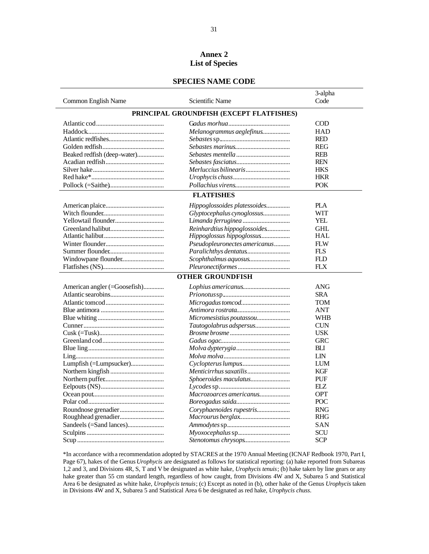## **Annex 2 List of Species**

#### **SPECIES NAME CODE**

|                              |                                          | 3-alpha    |
|------------------------------|------------------------------------------|------------|
| Common English Name          | Scientific Name                          | Code       |
|                              | PRINCIPAL GROUNDFISH (EXCEPT FLATFISHES) |            |
|                              |                                          | <b>COD</b> |
|                              | Melanogrammus aeglefinus                 | <b>HAD</b> |
|                              |                                          | <b>RED</b> |
|                              |                                          | <b>REG</b> |
| Beaked redfish (deep-water)  |                                          | <b>REB</b> |
|                              |                                          | <b>REN</b> |
|                              |                                          | <b>HKS</b> |
|                              |                                          | <b>HKR</b> |
|                              |                                          | <b>POK</b> |
|                              | <b>FLATFISHES</b>                        |            |
|                              | Hippoglossoides platessoides             | <b>PLA</b> |
|                              | Glyptocephalus cynoglossus               | <b>WIT</b> |
| Yellowtail flounder          |                                          | YEL        |
|                              | Reinhardtius hippoglossoides             | <b>GHL</b> |
|                              | Hippoglossus hippoglossus                | <b>HAL</b> |
|                              | Pseudopleuronectes americanus            | <b>FLW</b> |
|                              |                                          | <b>FLS</b> |
| Windowpane flounder          |                                          | FLD        |
|                              |                                          | <b>FLX</b> |
|                              | <b>OTHER GROUNDFISH</b>                  |            |
| American angler (=Goosefish) |                                          | ANG        |
|                              |                                          | <b>SRA</b> |
|                              |                                          | <b>TOM</b> |
|                              |                                          | <b>ANT</b> |
|                              | Micromesistius poutassou                 | <b>WHB</b> |
|                              | Tautogolabrus adspersus                  | <b>CUN</b> |
|                              |                                          | USK        |
|                              |                                          | <b>GRC</b> |
|                              |                                          | BLI        |
|                              |                                          | LIN        |
| Lumpfish (=Lumpsucker)       |                                          | LUM        |
|                              |                                          | <b>KGF</b> |
|                              | Sphoeroides maculatus                    | PUF        |
|                              |                                          | ELZ        |
|                              | Macrozoarces americanus                  | <b>OPT</b> |
|                              |                                          | POC        |
|                              | Coryphaenoides rupestris                 | <b>RNG</b> |
|                              |                                          | <b>RHG</b> |
|                              |                                          | <b>SAN</b> |
|                              |                                          | <b>SCU</b> |
|                              |                                          | <b>SCP</b> |

\*In accordance with a recommendation adopted by STACRES at the 1970 Annual Meeting (ICNAF Redbook 1970, Part I, Page 67), hakes of the Genus *Urophycis* are designated as follows for statistical reporting: (a) hake reported from Subareas 1,2 and 3, and Divisions 4R, S, T and V be designated as white hake, *Urophycis tenuis*; (b) hake taken by line gears or any hake greater than 55 cm standard length, regardless of how caught, from Divisions 4W and X, Subarea 5 and Statistical Area 6 be designated as white hake, *Urophycis tenuis*; (c) Except as noted in (b), other hake of the Genus *Urophycis* taken in Divisions 4W and X, Subarea 5 and Statistical Area 6 be designated as red hake, *Urophycis chuss*.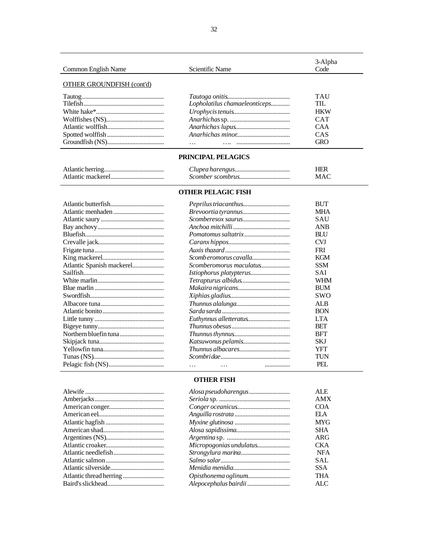| Common English Name              | Scientific Name               | 3-Alpha<br>Code |  |
|----------------------------------|-------------------------------|-----------------|--|
|                                  |                               |                 |  |
| <b>OTHER GROUNDFISH (cont'd)</b> |                               |                 |  |
|                                  |                               |                 |  |
|                                  |                               | <b>TAU</b>      |  |
|                                  | Lopholatilus chamaeleonticeps | TIL.            |  |
|                                  |                               | <b>HKW</b>      |  |
|                                  |                               | <b>CAT</b>      |  |
|                                  |                               | <b>CAA</b>      |  |
|                                  |                               | CAS             |  |
|                                  |                               | <b>GRO</b>      |  |
| PRINCIPAL PELAGICS               |                               |                 |  |
|                                  |                               | <b>HER</b>      |  |
|                                  |                               | <b>MAC</b>      |  |
|                                  |                               |                 |  |
| <b>OTHER PELAGIC FISH</b>        |                               |                 |  |
|                                  |                               | <b>BUT</b>      |  |
|                                  |                               | <b>MHA</b>      |  |
|                                  |                               | SAU             |  |
|                                  |                               | <b>ANB</b>      |  |
|                                  |                               | <b>BLU</b>      |  |
|                                  |                               | <b>CVJ</b>      |  |
|                                  |                               | <b>FRI</b>      |  |
|                                  | Scomb eromorus cavalla        | <b>KGM</b>      |  |
| Atlantic Spanish mackerel        | Scomberomorus maculatus       | <b>SSM</b>      |  |
|                                  |                               | SAI             |  |
|                                  |                               | <b>WHM</b>      |  |
|                                  |                               | <b>BUM</b>      |  |
|                                  |                               | <b>SWO</b>      |  |
|                                  |                               | <b>ALB</b>      |  |
|                                  |                               | <b>BON</b>      |  |
|                                  |                               | <b>LTA</b>      |  |
| $\lim_{\Omega}$ tunny            | $Thumuse choose \alpha$       | RFT             |  |

|  | ALB.       |
|--|------------|
|  | <b>BON</b> |
|  | LTA.       |
|  | <b>BET</b> |
|  | <b>BFT</b> |
|  | <b>SKJ</b> |
|  | YFT        |
|  | <b>TUN</b> |
|  | PEL        |
|  |            |

j

|                         | ALE        |
|-------------------------|------------|
|                         | AMX        |
|                         | COA        |
|                         | EI A       |
|                         | <b>MYG</b> |
|                         | <b>SHA</b> |
|                         | ARG        |
| Micropogonias undulatus | <b>CKA</b> |
|                         | <b>NFA</b> |
|                         | <b>SAL</b> |
|                         | SSA.       |
|                         | THA        |
|                         | ALC        |
|                         |            |

**OTHER FISH**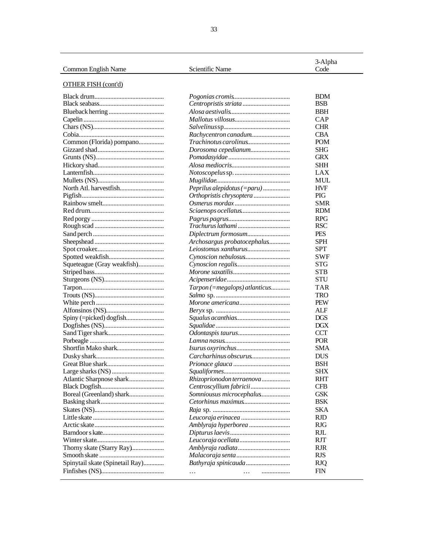| Common English Name        | Scientific Name             | 3-Alpha<br>Code |
|----------------------------|-----------------------------|-----------------|
| <b>OTHER FISH (cont'd)</b> |                             |                 |
|                            |                             | <b>BDM</b>      |
|                            |                             | <b>BSB</b>      |
|                            |                             | <b>BBH</b>      |
|                            |                             | CAP             |
|                            |                             | <b>CHR</b>      |
|                            | Rachycentron canadum        | <b>CBA</b>      |
| Common (Florida) pompano   |                             | <b>POM</b>      |
|                            | Dorosoma cepedianum         | <b>SHG</b>      |
|                            |                             | <b>GRX</b>      |
|                            |                             | <b>SHH</b>      |
|                            |                             | LAX             |
|                            |                             | MUL             |
|                            | Peprilus alepidotus (=paru) | <b>HVF</b>      |
|                            |                             | <b>PIG</b>      |
|                            |                             | <b>SMR</b>      |
|                            |                             | <b>RDM</b>      |
|                            |                             | <b>RPG</b>      |
|                            |                             | <b>RSC</b>      |
|                            |                             | <b>PES</b>      |

Sheepshead ............................................ *Archosargus probatocephalus..............* SPH Spot croaker........................................... *Leiostomus xanthurus...........................* SPT Spotted weakfish................................... *Cynoscion nebulosus.............................* SWF Squeteague (Gray weakfish).................. *Cynoscion regalis................................* STG Striped bass............................................ *Morone saxatilis....................................* STB Sturgeons (NS)...................................... *Acipenseridae........................................* STU Tarpon.................................................... *Tarpon (=megalops) atlanticus............* TAR Trouts (NS)............................................ *Salmo* sp. ............................................... TRO White perch ........................................... *Morone americana................................* PEW Alfonsinos (NS)..................................... *Beryx* sp. ............................................... ALF Spiny (=picked) dogfish........................ *Squalus acanthias..................................* DGS Dogfishes (NS)...................................... *Squalidae ...............................................* DGX Sand Tiger shark.................................... *Odontaspis taurus*................................. CCT Porbeagle ............................................... *Lamna nasus..........................................* POR Shortfin Mako shark.............................. *Isurus oxyrinchus*.................................. SMA Dusky shark........................................... *Carcharhinus obscurus*......................... DUS Great Blue shark.................................... *Prionace glauca* .................................... BSH Large sharks (NS)................................. *Squaliformes..........................................* SHX Atlantic Sharpnose shark...................... *Rhizoprionodon terraenova*.................. RHT Black Dogfish........................................ *Centroscyllium fabricii*......................... CFB Boreal (Greenland) shark...................... *Somniousus microcephalus*................... GSK Basking shark........................................ *Cetorhinus maximus*.............................. BSK Skates (NS)............................................ *Raja* sp. ................................................. SKA Little skate ............................................. *Leucoraja erinacea* ............................... RJD Arctic skate............................................ *Amblyraja hyperborea* .......................... RJG Barndoor s kate....................................... *Dipturus laevis*...................................... RJL Winter skate........................................... *Leucoraja ocellata*................................ RJT Thorny skate (Starry Ray)..................... *Amblyraja radiata*................................. RJR Smooth skate ......................................... *Malacoraja senta*.................................. RJS Spinytail skate (Spinetail Ray)............. *Bathyraja spinicauda*............................ RJQ Finfishes (NS)........................................ … … .................. FIN

l

| ٧<br>٠ | ٠      |
|--------|--------|
|        |        |
|        |        |
|        |        |
|        |        |
| I      | I      |
| ٠      | ٠      |
| $\sim$ | $\sim$ |
| v      | v      |
|        |        |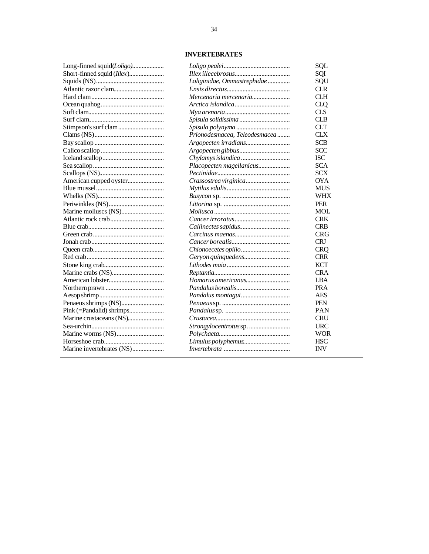# **INVERTEBRATES**

| Long-finned squid(Loligo)  |
|----------------------------|
| Short-finned squid (Illex) |
|                            |
|                            |
|                            |
|                            |
|                            |
|                            |
|                            |
|                            |
|                            |
|                            |
|                            |
|                            |
|                            |
| American cupped oyster     |
|                            |
|                            |
|                            |
|                            |
|                            |
|                            |
|                            |
|                            |
|                            |
|                            |
|                            |
|                            |
|                            |
|                            |
|                            |
| Penaeus shrimps (NS)       |
| Pink (=Pandalid) shrimps   |
| Marine crustaceans (NS)    |
|                            |
|                            |
|                            |
| Marine invertebrates (NS)  |
|                            |

|                               | SQL        |
|-------------------------------|------------|
|                               | SQI        |
| Loliginidae, Ommastrephidae   | SQU        |
|                               | <b>CLR</b> |
| Mercenaria mercenaria         | <b>CLH</b> |
|                               | CLQ        |
|                               | CLS        |
| Spisula solidissima           | <b>CLB</b> |
|                               | <b>CLT</b> |
| Prionodesmacea, Teleodesmacea | СLХ        |
|                               | <b>SCB</b> |
|                               | SCC        |
|                               | ISC        |
| Placopecten magellanicus      | <b>SCA</b> |
|                               | <b>SCX</b> |
|                               | <b>OYA</b> |
|                               | <b>MUS</b> |
|                               | WHX        |
|                               | <b>PER</b> |
|                               | <b>MOL</b> |
|                               | <b>CRK</b> |
|                               | <b>CRB</b> |
|                               | <b>CRG</b> |
|                               | <b>CRJ</b> |
|                               | <b>CRQ</b> |
| Geryon quinquedens            | <b>CRR</b> |
|                               | <b>KCT</b> |
|                               | <b>CRA</b> |
| Homarus americanus            | LBA        |
|                               | <b>PRA</b> |
|                               | <b>AES</b> |
|                               | PEN        |
|                               | PAN        |
|                               | <b>CRU</b> |
|                               | URC        |
|                               | WOR        |
| Limulus polyphemus            | <b>HSC</b> |
|                               | <b>INV</b> |
|                               |            |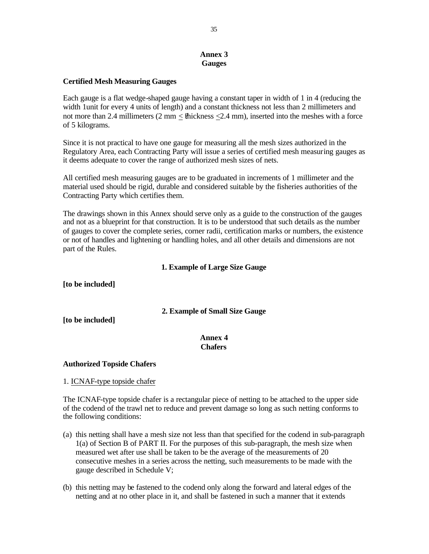## **Annex 3 Gauges**

## **Certified Mesh Measuring Gauges**

Each gauge is a flat wedge-shaped gauge having a constant taper in width of 1 in 4 (reducing the width 1unit for every 4 units of length) and a constant thickness not less than 2 millimeters and not more than 2.4 millimeters  $(2 \text{ mm} <$  thickness  $\leq 2.4 \text{ mm}$ ), inserted into the meshes with a force of 5 kilograms.

Since it is not practical to have one gauge for measuring all the mesh sizes authorized in the Regulatory Area, each Contracting Party will issue a series of certified mesh measuring gauges as it deems adequate to cover the range of authorized mesh sizes of nets.

All certified mesh measuring gauges are to be graduated in increments of 1 millimeter and the material used should be rigid, durable and considered suitable by the fisheries authorities of the Contracting Party which certifies them.

The drawings shown in this Annex should serve only as a guide to the construction of the gauges and not as a blueprint for that construction. It is to be understood that such details as the number of gauges to cover the complete series, corner radii, certification marks or numbers, the existence or not of handles and lightening or handling holes, and all other details and dimensions are not part of the Rules.

# **1. Example of Large Size Gauge**

**[to be included]**

**2. Example of Small Size Gauge**

**[to be included]**

## **Annex 4 Chafers**

## **Authorized Topside Chafers**

1. ICNAF-type topside chafer

The ICNAF-type topside chafer is a rectangular piece of netting to be attached to the upper side of the codend of the trawl net to reduce and prevent damage so long as such netting conforms to the following conditions:

- (a) this netting shall have a mesh size not less than that specified for the codend in sub-paragraph 1(a) of Section B of PART II. For the purposes of this sub-paragraph, the mesh size when measured wet after use shall be taken to be the average of the measurements of 20 consecutive meshes in a series across the netting, such measurements to be made with the gauge described in Schedule V;
- (b) this netting may be fastened to the codend only along the forward and lateral edges of the netting and at no other place in it, and shall be fastened in such a manner that it extends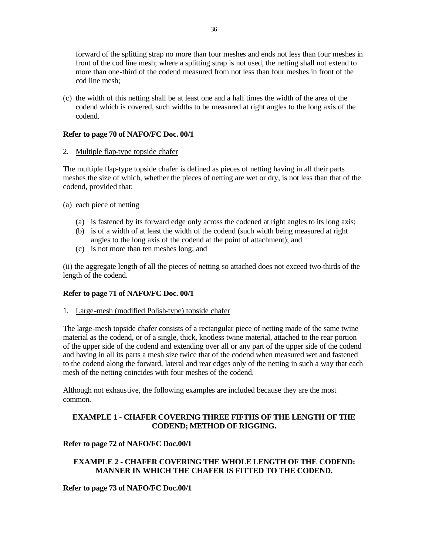forward of the splitting strap no more than four meshes and ends not less than four meshes in front of the cod line mesh; where a splitting strap is not used, the netting shall not extend to more than one-third of the codend measured from not less than four meshes in front of the cod line mesh;

(c) the width of this netting shall be at least one and a half times the width of the area of the codend which is covered, such widths to be measured at right angles to the long axis of the codend.

## **Refer to page 70 of NAFO/FC Doc. 00/1**

2. Multiple flap-type topside chafer

The multiple flap-type topside chafer is defined as pieces of netting having in all their parts meshes the size of which, whether the pieces of netting are wet or dry, is not less than that of the codend, provided that:

- (a) each piece of netting
	- (a) is fastened by its forward edge only across the codened at right angles to its long axis;
	- (b) is of a width of at least the width of the codend (such width being measured at right angles to the long axis of the codend at the point of attachment); and
	- (c) is not more than ten meshes long; and

(ii) the aggregate length of all the pieces of netting so attached does not exceed two-thirds of the length of the codend.

## **Refer to page 71 of NAFO/FC Doc. 00/1**

1. Large-mesh (modified Polish-type) topside chafer

The large-mesh topside chafer consists of a rectangular piece of netting made of the same twine material as the codend, or of a single, thick, knotless twine material, attached to the rear portion of the upper side of the codend and extending over all or any part of the upper side of the codend and having in all its parts a mesh size twice that of the codend when measured wet and fastened to the codend along the forward, lateral and rear edges only of the netting in such a way that each mesh of the netting coincides with four meshes of the codend.

Although not exhaustive, the following examples are included because they are the most common.

# **EXAMPLE 1 - CHAFER COVERING THREE FIFTHS OF THE LENGTH OF THE CODEND; METHOD OF RIGGING.**

## **Refer to page 72 of NAFO/FC Doc.00/1**

## **EXAMPLE 2 - CHAFER COVERING THE WHOLE LENGTH OF THE CODEND: MANNER IN WHICH THE CHAFER IS FITTED TO THE CODEND.**

**Refer to page 73 of NAFO/FC Doc.00/1**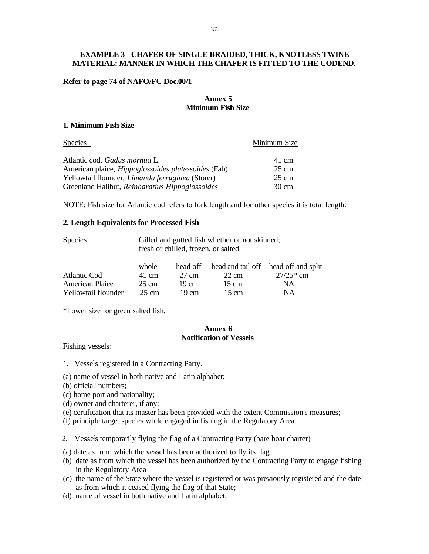## **EXAMPLE 3 - CHAFER OF SINGLE-BRAIDED, THICK, KNOTLESS TWINE MATERIAL: MANNER IN WHICH THE CHAFER IS FITTED TO THE CODEND.**

#### **Refer to page 74 of NAFO/FC Doc.00/1**

### **Annex 5 Minimum Fish Size**

#### **1. Minimum Fish Size**

| Species                                                    | Minimum Size    |
|------------------------------------------------------------|-----------------|
| Atlantic cod, Gadus morhua L.                              | 41 cm           |
| American plaice, <i>Hippoglossoides platessoides</i> (Fab) | $25 \text{ cm}$ |
| Yellowtail flounder, <i>Limanda ferruginea</i> (Storer)    | $25 \text{ cm}$ |
| Greenland Halibut, Reinhardtius Hippoglossoides            | $30 \text{ cm}$ |

NOTE: Fish size for Atlantic cod refers to fork length and for other species it is total length.

#### **2. Length Equivalents for Processed Fish**

| <b>Species</b>         | Gilled and gutted fish whether or not skinned;<br>fresh or chilled, frozen, or salted |                 |                 |                                      |
|------------------------|---------------------------------------------------------------------------------------|-----------------|-----------------|--------------------------------------|
|                        | whole                                                                                 | head off        |                 | head and tail off head off and split |
| Atlantic Cod           | 41 cm                                                                                 | 27 cm           | $22 \text{ cm}$ | $27/25*$ cm                          |
| <b>American Plaice</b> | 25 cm                                                                                 | $19 \text{ cm}$ | $15 \text{ cm}$ | <b>NA</b>                            |
| Yellowtail flounder    | 25 cm                                                                                 | 19 cm           | $15 \text{ cm}$ | <b>NA</b>                            |

\*Lower size for green salted fish.

## **Annex 6 Notification of Vessels**

#### Fishing vessels:

1. Vessels registered in a Contracting Party.

- (a) name of vessel in both native and Latin alphabet;
- (b) official numbers;
- (c) home port and nationality;
- (d) owner and charterer, if any;
- (e) certification that its master has been provided with the extent Commission's measures;
- (f) principle target species while engaged in fishing in the Regulatory Area.
- 2. Vessels temporarily flying the flag of a Contracting Party (bare boat charter)
- (a) date as from which the vessel has been authorized to fly its flag
- (b) date as from which the vessel has been authorized by the Contracting Party to engage fishing in the Regulatory Area
- (c) the name of the State where the vessel is registered or was previously registered and the date as from which it ceased flying the flag of that State;
- (d) name of vessel in both native and Latin alphabet;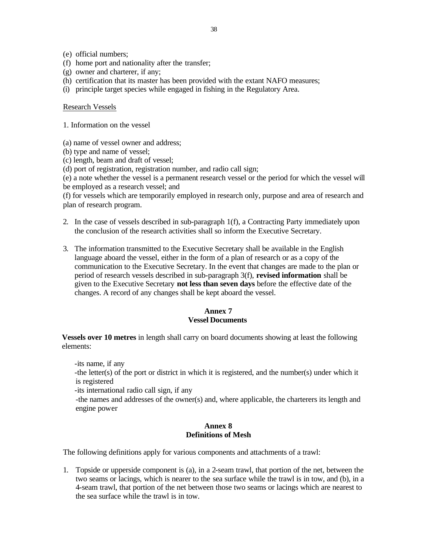- (e) official numbers;
- (f) home port and nationality after the transfer;
- (g) owner and charterer, if any;
- (h) certification that its master has been provided with the extant NAFO measures;
- (i) principle target species while engaged in fishing in the Regulatory Area.

#### Research Vessels

- 1. Information on the vessel
- (a) name of vessel owner and address;
- (b) type and name of vessel;
- (c) length, beam and draft of vessel;
- (d) port of registration, registration number, and radio call sign;

(e) a note whether the vessel is a permanent research vessel or the period for which the vessel will be employed as a research vessel; and

(f) for vessels which are temporarily employed in research only, purpose and area of research and plan of research program.

- 2. In the case of vessels described in sub-paragraph 1(f), a Contracting Party immediately upon the conclusion of the research activities shall so inform the Executive Secretary.
- 3. The information transmitted to the Executive Secretary shall be available in the English language aboard the vessel, either in the form of a plan of research or as a copy of the communication to the Executive Secretary. In the event that changes are made to the plan or period of research vessels described in sub-paragraph 3(f), **revised information** shall be given to the Executive Secretary **not less than seven days** before the effective date of the changes. A record of any changes shall be kept aboard the vessel.

## **Annex 7 Vessel Documents**

**Vessels over 10 metres** in length shall carry on board documents showing at least the following elements:

-its name, if any

-the letter(s) of the port or district in which it is registered, and the number(s) under which it is registered

-its international radio call sign, if any

-the names and addresses of the owner(s) and, where applicable, the charterers its length and engine power

## **Annex 8 Definitions of Mesh**

The following definitions apply for various components and attachments of a trawl:

1. Topside or upperside component is (a), in a 2-seam trawl, that portion of the net, between the two seams or lacings, which is nearer to the sea surface while the trawl is in tow, and (b), in a 4-seam trawl, that portion of the net between those two seams or lacings which are nearest to the sea surface while the trawl is in tow.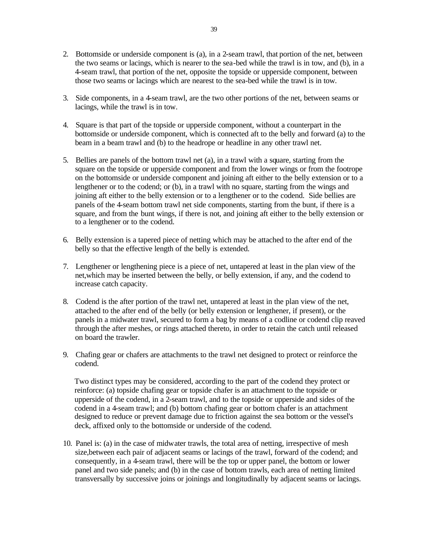- 2. Bottomside or underside component is (a), in a 2-seam trawl, that portion of the net, between the two seams or lacings, which is nearer to the sea-bed while the trawl is in tow, and (b), in a 4-seam trawl, that portion of the net, opposite the topside or upperside component, between those two seams or lacings which are nearest to the sea-bed while the trawl is in tow.
- 3. Side components, in a 4-seam trawl, are the two other portions of the net, between seams or lacings, while the trawl is in tow.
- 4. Square is that part of the topside or upperside component, without a counterpart in the bottomside or underside component, which is connected aft to the belly and forward (a) to the beam in a beam trawl and (b) to the headrope or headline in any other trawl net.
- 5. Bellies are panels of the bottom trawl net (a), in a trawl with a square, starting from the square on the topside or upperside component and from the lower wings or from the footrope on the bottomside or underside component and joining aft either to the belly extension or to a lengthener or to the codend; or (b), in a trawl with no square, starting from the wings and joining aft either to the belly extension or to a lengthener or to the codend. Side bellies are panels of the 4-seam bottom trawl net side components, starting from the bunt, if there is a square, and from the bunt wings, if there is not, and joining aft either to the belly extension or to a lengthener or to the codend.
- 6. Belly extension is a tapered piece of netting which may be attached to the after end of the belly so that the effective length of the belly is extended.
- 7. Lengthener or lengthening piece is a piece of net, untapered at least in the plan view of the net,which may be inserted between the belly, or belly extension, if any, and the codend to increase catch capacity.
- 8. Codend is the after portion of the trawl net, untapered at least in the plan view of the net, attached to the after end of the belly (or belly extension or lengthener, if present), or the panels in a midwater trawl, secured to form a bag by means of a codline or codend clip reaved through the after meshes, or rings attached thereto, in order to retain the catch until released on board the trawler.
- 9. Chafing gear or chafers are attachments to the trawl net designed to protect or reinforce the codend.

Two distinct types may be considered, according to the part of the codend they protect or reinforce: (a) topside chafing gear or topside chafer is an attachment to the topside or upperside of the codend, in a 2-seam trawl, and to the topside or upperside and sides of the codend in a 4-seam trawl; and (b) bottom chafing gear or bottom chafer is an attachment designed to reduce or prevent damage due to friction against the sea bottom or the vessel's deck, affixed only to the bottomside or underside of the codend.

10. Panel is: (a) in the case of midwater trawls, the total area of netting, irrespective of mesh size,between each pair of adjacent seams or lacings of the trawl, forward of the codend; and consequently, in a 4-seam trawl, there will be the top or upper panel, the bottom or lower panel and two side panels; and (b) in the case of bottom trawls, each area of netting limited transversally by successive joins or joinings and longitudinally by adjacent seams or lacings.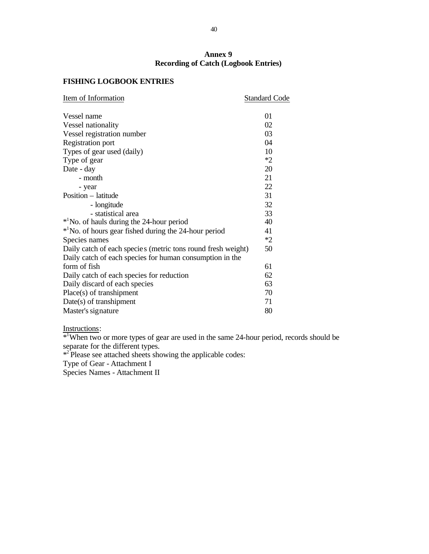## **Annex 9 Recording of Catch (Logbook Entries)**

# **FISHING LOGBOOK ENTRIES**

| Item of Information                                               | <b>Standard Code</b> |
|-------------------------------------------------------------------|----------------------|
| Vessel name                                                       | 01                   |
| Vessel nationality                                                | 02                   |
| Vessel registration number                                        | 03                   |
| Registration port                                                 | 04                   |
| Types of gear used (daily)                                        | 10                   |
| Type of gear                                                      | $*2$                 |
| Date - day                                                        | 20                   |
| - month                                                           | 21                   |
| - year                                                            | 22                   |
| Position – latitude                                               | 31                   |
| - longitude                                                       | 32                   |
| - statistical area                                                | 33                   |
| <sup>*1</sup> No. of hauls during the 24-hour period              | 40                   |
| * <sup>1</sup> No. of hours gear fished during the 24-hour period | 41                   |
| Species names                                                     | $*2$                 |
| Daily catch of each species (metric tons round fresh weight)      | 50                   |
| Daily catch of each species for human consumption in the          |                      |
| form of fish                                                      | 61                   |
| Daily catch of each species for reduction                         | 62                   |
| Daily discard of each species                                     | 63                   |
| Place(s) of transhipment                                          | 70                   |
| Date(s) of transhipment                                           | 71                   |
| Master's signature                                                | 80                   |

Instructions:

\*<sup>1</sup>When two or more types of gear are used in the same 24-hour period, records should be separate for the different types.

\*<sup>2</sup>Please see attached sheets showing the applicable codes:

Type of Gear - Attachment I

Species Names - Attachment II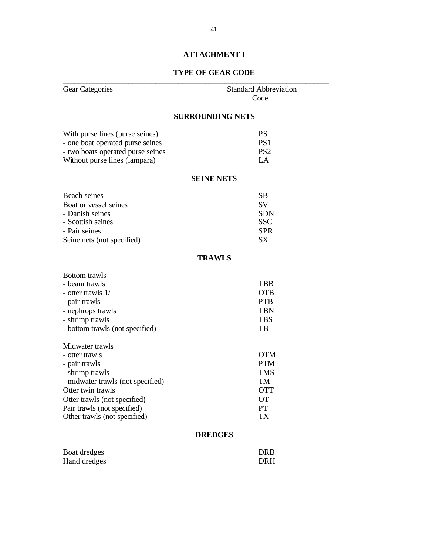# **ATTACHMENT I**

# **TYPE OF GEAR CODE**

| <b>Gear Categories</b>                                                                                                                                                                                                         | <b>Standard Abbreviation</b><br>Code                                                |  |
|--------------------------------------------------------------------------------------------------------------------------------------------------------------------------------------------------------------------------------|-------------------------------------------------------------------------------------|--|
|                                                                                                                                                                                                                                | <b>SURROUNDING NETS</b>                                                             |  |
| With purse lines (purse seines)<br>- one boat operated purse seines<br>- two boats operated purse seines<br>Without purse lines (lampara)                                                                                      | <b>PS</b><br>PS <sub>1</sub><br>PS <sub>2</sub><br>LA                               |  |
|                                                                                                                                                                                                                                | <b>SEINE NETS</b>                                                                   |  |
| Beach seines<br>Boat or vessel seines<br>- Danish seines<br>- Scottish seines<br>- Pair seines<br>Seine nets (not specified)                                                                                                   | <b>SB</b><br>SV<br><b>SDN</b><br><b>SSC</b><br><b>SPR</b><br><b>SX</b>              |  |
|                                                                                                                                                                                                                                | <b>TRAWLS</b>                                                                       |  |
| <b>Bottom</b> trawls<br>- beam trawls<br>- otter trawls 1/<br>- pair trawls<br>- nephrops trawls<br>- shrimp trawls<br>- bottom trawls (not specified)                                                                         | <b>TBB</b><br><b>OTB</b><br><b>PTB</b><br><b>TBN</b><br><b>TBS</b><br>TB            |  |
| Midwater trawls<br>- otter trawls<br>- pair trawls<br>- shrimp trawls<br>- midwater trawls (not specified)<br>Otter twin trawls<br>Otter trawls (not specified)<br>Pair trawls (not specified)<br>Other trawls (not specified) | <b>OTM</b><br><b>PTM</b><br><b>TMS</b><br>TM<br><b>OTT</b><br><b>OT</b><br>PT<br>TX |  |
|                                                                                                                                                                                                                                | <b>DREDGES</b>                                                                      |  |
| Boat dredges<br>Hand dredges                                                                                                                                                                                                   | <b>DRB</b><br><b>DRH</b>                                                            |  |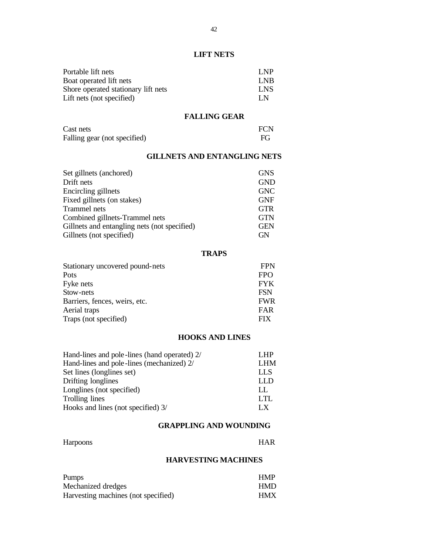# **LIFT NETS**

| Portable lift nets                  | LNP        |
|-------------------------------------|------------|
| Boat operated lift nets             | LNB        |
| Shore operated stationary lift nets | <b>LNS</b> |
| Lift nets (not specified)           | LN.        |

# **FALLING GEAR**

| Cast nets                    | <b>FCN</b> |
|------------------------------|------------|
| Falling gear (not specified) | FG         |

# **GILLNETS AND ENTANGLING NETS**

| Set gillnets (anchored)                      | <b>GNS</b> |
|----------------------------------------------|------------|
| Drift nets                                   | <b>GND</b> |
| Encircling gillnets                          | <b>GNC</b> |
| Fixed gillnets (on stakes)                   | <b>GNF</b> |
| Trammel nets                                 | <b>GTR</b> |
| Combined gillnets-Trammel nets               | <b>GTN</b> |
| Gillnets and entangling nets (not specified) | <b>GEN</b> |
| Gillnets (not specified)                     | GN         |

## **TRAPS**

| <b>FPN</b> |
|------------|
| <b>FPO</b> |
| <b>FYK</b> |
| <b>FSN</b> |
| <b>FWR</b> |
| FAR        |
| <b>FIX</b> |
|            |

## **HOOKS AND LINES**

| Hand-lines and pole-lines (hand operated) 2/ | L <sub>HP</sub> |
|----------------------------------------------|-----------------|
| Hand-lines and pole-lines (mechanized) 2/    | <b>LHM</b>      |
| Set lines (longlines set)                    | <b>LLS</b>      |
| Drifting longlines                           | LLD             |
| Longlines (not specified)                    | LL              |
| Trolling lines                               | LTL.            |
| Hooks and lines (not specified) 3/           | LX.             |

# **GRAPPLING AND WOUNDING**

| <b>Harpoons</b> | <b>HAR</b> |
|-----------------|------------|
|                 |            |

## **HARVESTING MACHINES**

| <b>Pumps</b>                        | <b>HMP</b> |
|-------------------------------------|------------|
| Mechanized dredges                  | <b>HMD</b> |
| Harvesting machines (not specified) | <b>HMX</b> |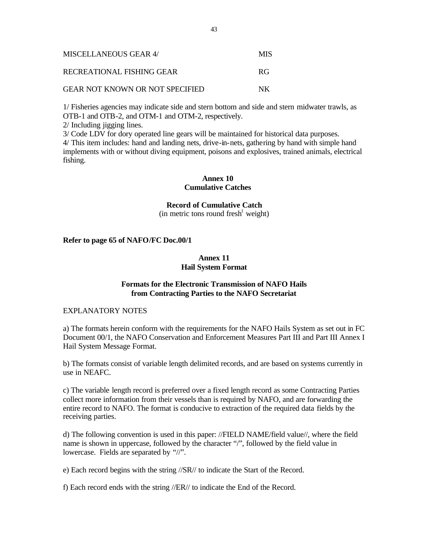| MISCELLANEOUS GEAR 4/                  | <b>MIS</b> |
|----------------------------------------|------------|
| RECREATIONAL FISHING GEAR              | -RG        |
| <b>GEAR NOT KNOWN OR NOT SPECIFIED</b> | NK.        |

1/ Fisheries agencies may indicate side and stern bottom and side and stern midwater trawls, as OTB-1 and OTB-2, and OTM-1 and OTM-2, respectively.

2/ Including jigging lines.

3/ Code LDV for dory operated line gears will be maintained for historical data purposes.

4/ This item includes: hand and landing nets, drive-in-nets, gathering by hand with simple hand implements with or without diving equipment, poisons and explosives, trained animals, electrical fishing.

# **Annex 10 Cumulative Catches**

**Record of Cumulative Catch**

 $(in$  metric tons round fresh<sup>1</sup> weight)

## **Refer to page 65 of NAFO/FC Doc.00/1**

## **Annex 11 Hail System Format**

## **Formats for the Electronic Transmission of NAFO Hails from Contracting Parties to the NAFO Secretariat**

#### EXPLANATORY NOTES

a) The formats herein conform with the requirements for the NAFO Hails System as set out in FC Document 00/1, the NAFO Conservation and Enforcement Measures Part III and Part III Annex I Hail System Message Format.

b) The formats consist of variable length delimited records, and are based on systems currently in use in NEAFC.

c) The variable length record is preferred over a fixed length record as some Contracting Parties collect more information from their vessels than is required by NAFO, and are forwarding the entire record to NAFO. The format is conducive to extraction of the required data fields by the receiving parties.

d) The following convention is used in this paper: //FIELD NAME/field value//, where the field name is shown in uppercase, followed by the character "/", followed by the field value in lowercase. Fields are separated by "//".

e) Each record begins with the string //SR// to indicate the Start of the Record.

f) Each record ends with the string //ER// to indicate the End of the Record.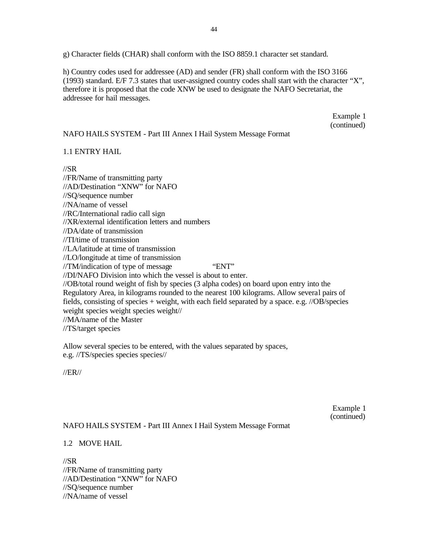g) Character fields (CHAR) shall conform with the ISO 8859.1 character set standard.

h) Country codes used for addressee (AD) and sender (FR) shall conform with the ISO 3166 (1993) standard. E/F 7.3 states that user-assigned country codes shall start with the character "X", therefore it is proposed that the code XNW be used to designate the NAFO Secretariat, the addressee for hail messages.

> Example 1 (continued)

## NAFO HAILS SYSTEM - Part III Annex I Hail System Message Format

## 1.1 ENTRY HAIL

//SR

//FR/Name of transmitting party //AD/Destination "XNW" for NAFO //SQ/sequence number //NA/name of vessel //RC/International radio call sign //XR/external identification letters and numbers //DA/date of transmission //TI/time of transmission //LA/latitude at time of transmission //LO/longitude at time of transmission //TM/indication of type of message "ENT" //DI/NAFO Division into which the vessel is about to enter. //OB/total round weight of fish by species (3 alpha codes) on board upon entry into the Regulatory Area, in kilograms rounded to the nearest 100 kilograms. Allow several pairs of fields, consisting of species + weight, with each field separated by a space. e.g. //OB/species weight species weight species weight// //MA/name of the Master //TS/target species

Allow several species to be entered, with the values separated by spaces, e.g. //TS/species species species//

//ER//

Example 1 (continued)

# NAFO HAILS SYSTEM - Part III Annex I Hail System Message Format

## 1.2 MOVE HAIL

//SR //FR/Name of transmitting party //AD/Destination "XNW" for NAFO //SQ/sequence number //NA/name of vessel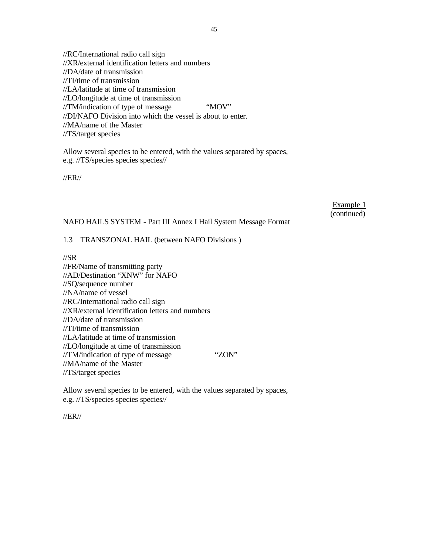//RC/International radio call sign //XR/external identification letters and numbers //DA/date of transmission //TI/time of transmission //LA/latitude at time of transmission //LO/longitude at time of transmission //TM/indication of type of message "MOV" //DI/NAFO Division into which the vessel is about to enter. //MA/name of the Master //TS/target species

Allow several species to be entered, with the values separated by spaces, e.g. //TS/species species species//

//ER//

Example 1 (continued)

## NAFO HAILS SYSTEM - Part III Annex I Hail System Message Format

## 1.3 TRANSZONAL HAIL (between NAFO Divisions )

//SR

//FR/Name of transmitting party //AD/Destination "XNW" for NAFO //SQ/sequence number //NA/name of vessel //RC/International radio call sign //XR/external identification letters and numbers //DA/date of transmission //TI/time of transmission //LA/latitude at time of transmission //LO/longitude at time of transmission //TM/indication of type of message "ZON" //MA/name of the Master //TS/target species

Allow several species to be entered, with the values separated by spaces, e.g. //TS/species species species//

//ER//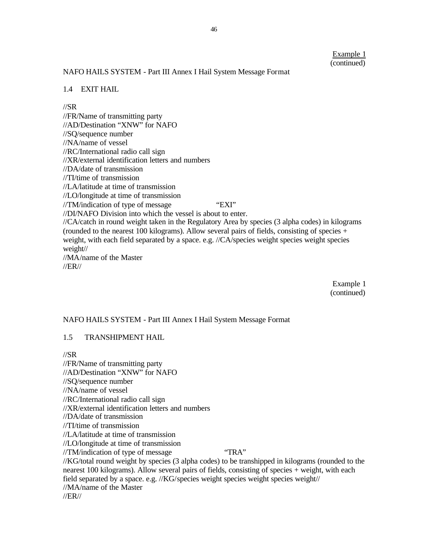## NAFO HAILS SYSTEM - Part III Annex I Hail System Message Format

#### 1.4 EXIT HAIL

#### //SR

//FR/Name of transmitting party //AD/Destination "XNW" for NAFO //SQ/sequence number //NA/name of vessel //RC/International radio call sign //XR/external identification letters and numbers //DA/date of transmission //TI/time of transmission //LA/latitude at time of transmission //LO/longitude at time of transmission //TM/indication of type of message "EXI" //DI/NAFO Division into which the vessel is about to enter. //CA/catch in round weight taken in the Regulatory Area by species (3 alpha codes) in kilograms (rounded to the nearest 100 kilograms). Allow several pairs of fields, consisting of species  $+$ weight, with each field separated by a space. e.g. //CA/species weight species weight species weight// //MA/name of the Master //ER//

> Example 1 (continued)

#### NAFO HAILS SYSTEM - Part III Annex I Hail System Message Format

#### 1.5 TRANSHIPMENT HAIL

//SR

//FR/Name of transmitting party //AD/Destination "XNW" for NAFO //SQ/sequence number //NA/name of vessel //RC/International radio call sign //XR/external identification letters and numbers //DA/date of transmission //TI/time of transmission //LA/latitude at time of transmission //LO/longitude at time of transmission //TM/indication of type of message "TRA" //KG/total round weight by species (3 alpha codes) to be transhipped in kilograms (rounded to the nearest 100 kilograms). Allow several pairs of fields, consisting of species + weight, with each field separated by a space. e.g. //KG/species weight species weight species weight// //MA/name of the Master //ER//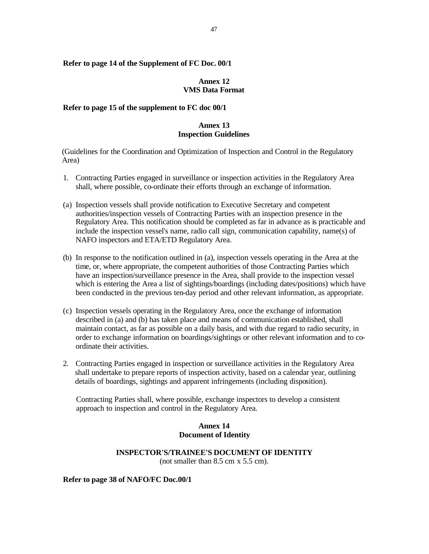### **Refer to page 14 of the Supplement of FC Doc. 00/1**

#### **Annex 12 VMS Data Format**

## **Refer to page 15 of the supplement to FC doc 00/1**

## **Annex 13 Inspection Guidelines**

(Guidelines for the Coordination and Optimization of Inspection and Control in the Regulatory Area)

- 1. Contracting Parties engaged in surveillance or inspection activities in the Regulatory Area shall, where possible, co-ordinate their efforts through an exchange of information.
- (a) Inspection vessels shall provide notification to Executive Secretary and competent authorities/inspection vessels of Contracting Parties with an inspection presence in the Regulatory Area. This notification should be completed as far in advance as is practicable and include the inspection vessel's name, radio call sign, communication capability, name(s) of NAFO inspectors and ETA/ETD Regulatory Area.
- (b) In response to the notification outlined in (a), inspection vessels operating in the Area at the time, or, where appropriate, the competent authorities of those Contracting Parties which have an inspection/surveillance presence in the Area, shall provide to the inspection vessel which is entering the Area a list of sightings/boardings (including dates/positions) which have been conducted in the previous ten-day period and other relevant information, as appropriate.
- (c) Inspection vessels operating in the Regulatory Area, once the exchange of information described in (a) and (b) has taken place and means of communication established, shall maintain contact, as far as possible on a daily basis, and with due regard to radio security, in order to exchange information on boardings/sightings or other relevant information and to coordinate their activities.
- 2. Contracting Parties engaged in inspection or surveillance activities in the Regulatory Area shall undertake to prepare reports of inspection activity, based on a calendar year, outlining details of boardings, sightings and apparent infringements (including disposition).

Contracting Parties shall, where possible, exchange inspectors to develop a consistent approach to inspection and control in the Regulatory Area.

## **Annex 14 Document of Identity**

## **INSPECTOR'S/TRAINEE'S DOCUMENT OF IDENTITY** (not smaller than 8.5 cm x 5.5 cm).

#### **Refer to page 38 of NAFO/FC Doc.00/1**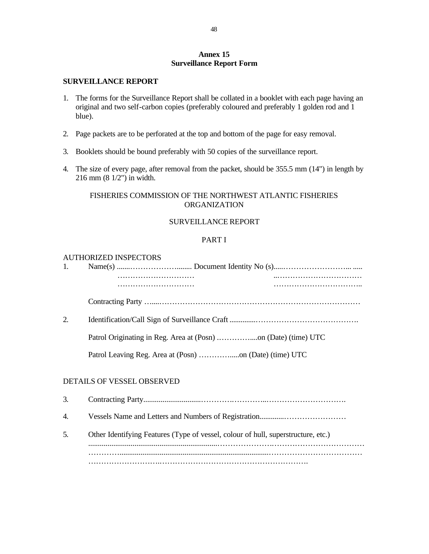## **Annex 15 Surveillance Report Form**

## **SURVEILLANCE REPORT**

- 1. The forms for the Surveillance Report shall be collated in a booklet with each page having an original and two self-carbon copies (preferably coloured and preferably 1 golden rod and 1 blue).
- 2. Page packets are to be perforated at the top and bottom of the page for easy removal.
- 3. Booklets should be bound preferably with 50 copies of the surveillance report.
- 4. The size of every page, after removal from the packet, should be 355.5 mm (14") in length by 216 mm (8 1/2") in width.

## FISHERIES COMMISSION OF THE NORTHWEST ATLANTIC FISHERIES **ORGANIZATION**

## SURVEILLANCE REPORT

## PART I

### AUTHORIZED INSPECTORS

| 1. |                                                                                   |  |
|----|-----------------------------------------------------------------------------------|--|
|    |                                                                                   |  |
|    |                                                                                   |  |
|    |                                                                                   |  |
| 2. |                                                                                   |  |
|    |                                                                                   |  |
|    |                                                                                   |  |
|    |                                                                                   |  |
|    | DETAILS OF VESSEL OBSERVED                                                        |  |
| 3. |                                                                                   |  |
| 4. |                                                                                   |  |
| 5. | Other Identifying Features (Type of vessel, colour of hull, superstructure, etc.) |  |
|    |                                                                                   |  |
|    |                                                                                   |  |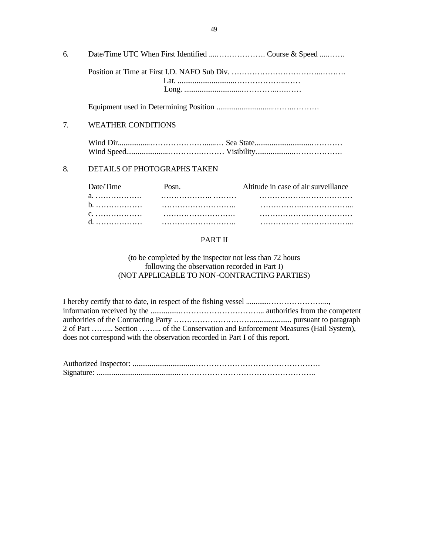| 6. |                              |                                      |
|----|------------------------------|--------------------------------------|
|    |                              |                                      |
|    |                              |                                      |
| 7. | <b>WEATHER CONDITIONS</b>    |                                      |
|    |                              |                                      |
| 8. | DETAILS OF PHOTOGRAPHS TAKEN |                                      |
|    | $\Gamma$                     | Altitude in case of air quantillance |

| Date/Time Posn. | Altitude in case of air surveillance |  |
|-----------------|--------------------------------------|--|
|                 |                                      |  |
|                 |                                      |  |
|                 |                                      |  |
|                 |                                      |  |

# PART II

(to be completed by the inspector not less than 72 hours following the observation recorded in Part I) (NOT APPLICABLE TO NON-CONTRACTING PARTIES)

I hereby certify that to date, in respect of the fishing vessel ............…………………..., information received by the ................…………………………... authorities from the competent authorities of the Contracting Party …………………………..................... pursuant to paragraph 2 of Part ……... Section ……... of the Conservation and Enforcement Measures (Hail System), does not correspond with the observation recorded in Part I of this report.

Authorized Inspector: ................................…………………………………………. Signature: ...........................................……………………………………………..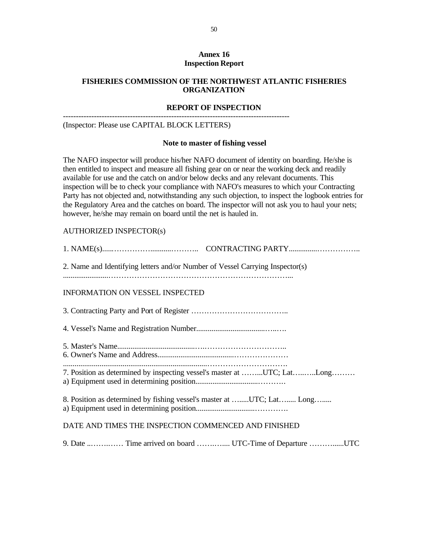## **Annex 16 Inspection Report**

## **FISHERIES COMMISSION OF THE NORTHWEST ATLANTIC FISHERIES ORGANIZATION**

## **REPORT OF INSPECTION**

---------------------------------------------------------------------------------------- (Inspector: Please use CAPITAL BLOCK LETTERS)

# **Note to master of fishing vessel**

The NAFO inspector will produce his/her NAFO document of identity on boarding. He/she is then entitled to inspect and measure all fishing gear on or near the working deck and readily available for use and the catch on and/or below decks and any relevant documents. This inspection will be to check your compliance with NAFO's measures to which your Contracting Party has not objected and, notwithstanding any such objection, to inspect the logbook entries for the Regulatory Area and the catches on board. The inspector will not ask you to haul your nets; however, he/she may remain on board until the net is hauled in.

## AUTHORIZED INSPECTOR(s)

| 2. Name and Identifying letters and/or Number of Vessel Carrying Inspector(s) |
|-------------------------------------------------------------------------------|
| <b>INFORMATION ON VESSEL INSPECTED</b>                                        |
|                                                                               |
|                                                                               |
|                                                                               |
| 7. Position as determined by inspecting vessel's master at UTC; LatLong       |
| 8. Position as determined by fishing vessel's master at UTC; Lat Long         |
| DATE AND TIMES THE INSPECTION COMMENCED AND FINISHED                          |

9. Date ..…….…… Time arrived on board …….….... UTC-Time of Departure ………......UTC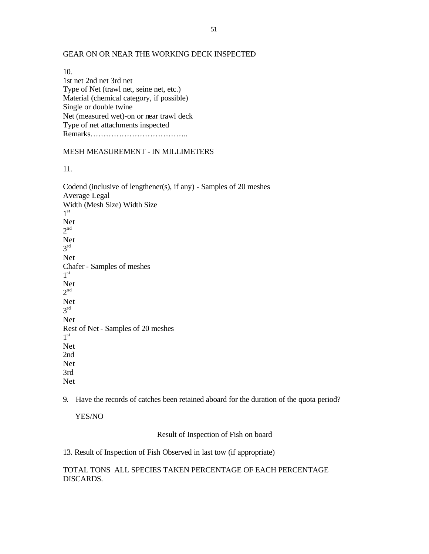#### GEAR ON OR NEAR THE WORKING DECK INSPECTED

10. 1st net 2nd net 3rd net Type of Net (trawl net, seine net, etc.) Material (chemical category, if possible) Single or double twine Net (measured wet)-on or near trawl deck Type of net attachments inspected Remarks………………………………..

#### MESH MEASUREMENT - IN MILLIMETERS

11.

Codend (inclusive of lengthener(s), if any) - Samples of 20 meshes Average Legal Width (Mesh Size) Width Size  $1^{\rm st}$ Net  $2<sup>nd</sup>$ Net 3 rd Net Chafer - Samples of meshes  $1^{\rm st}$ Net  $2<sup>nd</sup>$ Net 3 rd Net Rest of Net - Samples of 20 meshes  $1^{\rm st}$ Net 2nd Net 3rd Net

9. Have the records of catches been retained aboard for the duration of the quota period?

YES/NO

Result of Inspection of Fish on board

13. Result of Inspection of Fish Observed in last tow (if appropriate)

TOTAL TONS ALL SPECIES TAKEN PERCENTAGE OF EACH PERCENTAGE DISCARDS.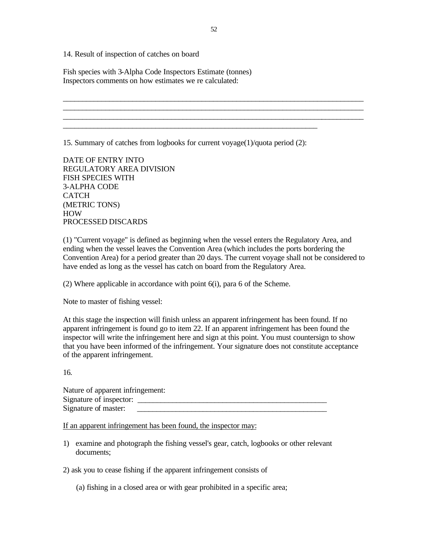14. Result of inspection of catches on board

Fish species with 3-Alpha Code Inspectors Estimate (tonnes) Inspectors comments on how estimates we re calculated:

15. Summary of catches from logbooks for current voyage(1)/quota period (2):

\_\_\_\_\_\_\_\_\_\_\_\_\_\_\_\_\_\_\_\_\_\_\_\_\_\_\_\_\_\_\_\_\_\_\_\_\_\_\_\_\_\_\_\_\_\_\_\_\_\_\_\_\_\_\_\_\_\_\_\_\_\_\_\_\_\_

DATE OF ENTRY INTO REGULATORY AREA DIVISION FISH SPECIES WITH 3-ALPHA CODE **CATCH** (METRIC TONS) HOW PROCESSED DISCARDS

(1) "Current voyage" is defined as beginning when the vessel enters the Regulatory Area, and ending when the vessel leaves the Convention Area (which includes the ports bordering the Convention Area) for a period greater than 20 days. The current voyage shall not be considered to have ended as long as the vessel has catch on board from the Regulatory Area.

(2) Where applicable in accordance with point 6(i), para 6 of the Scheme.

Note to master of fishing vessel:

At this stage the inspection will finish unless an apparent infringement has been found. If no apparent infringement is found go to item 22. If an apparent infringement has been found the inspector will write the infringement here and sign at this point. You must countersign to show that you have been informed of the infringement. Your signature does not constitute acceptance of the apparent infringement.

16.

| Nature of apparent infringement: |  |
|----------------------------------|--|
| Signature of inspector:          |  |
| Signature of master:             |  |

If an apparent infringement has been found, the inspector may:

1) examine and photograph the fishing vessel's gear, catch, logbooks or other relevant documents;

2) ask you to cease fishing if the apparent infringement consists of

(a) fishing in a closed area or with gear prohibited in a specific area;

\_\_\_\_\_\_\_\_\_\_\_\_\_\_\_\_\_\_\_\_\_\_\_\_\_\_\_\_\_\_\_\_\_\_\_\_\_\_\_\_\_\_\_\_\_\_\_\_\_\_\_\_\_\_\_\_\_\_\_\_\_\_\_\_\_\_\_\_\_\_\_\_\_\_\_\_\_\_ \_\_\_\_\_\_\_\_\_\_\_\_\_\_\_\_\_\_\_\_\_\_\_\_\_\_\_\_\_\_\_\_\_\_\_\_\_\_\_\_\_\_\_\_\_\_\_\_\_\_\_\_\_\_\_\_\_\_\_\_\_\_\_\_\_\_\_\_\_\_\_\_\_\_\_\_\_\_ \_\_\_\_\_\_\_\_\_\_\_\_\_\_\_\_\_\_\_\_\_\_\_\_\_\_\_\_\_\_\_\_\_\_\_\_\_\_\_\_\_\_\_\_\_\_\_\_\_\_\_\_\_\_\_\_\_\_\_\_\_\_\_\_\_\_\_\_\_\_\_\_\_\_\_\_\_\_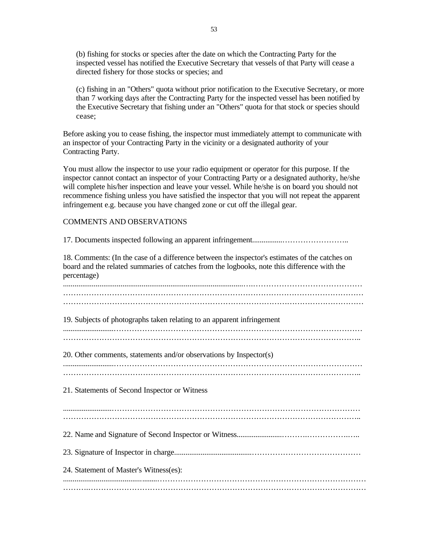(b) fishing for stocks or species after the date on which the Contracting Party for the inspected vessel has notified the Executive Secretary that vessels of that Party will cease a directed fishery for those stocks or species; and

(c) fishing in an "Others" quota without prior notification to the Executive Secretary, or more than 7 working days after the Contracting Party for the inspected vessel has been notified by the Executive Secretary that fishing under an "Others" quota for that stock or species should cease;

Before asking you to cease fishing, the inspector must immediately attempt to communicate with an inspector of your Contracting Party in the vicinity or a designated authority of your Contracting Party.

You must allow the inspector to use your radio equipment or operator for this purpose. If the inspector cannot contact an inspector of your Contracting Party or a designated authority, he/she will complete his/her inspection and leave your vessel. While he/she is on board you should not recommence fishing unless you have satisfied the inspector that you will not repeat the apparent infringement e.g. because you have changed zone or cut off the illegal gear.

#### COMMENTS AND OBSERVATIONS

| 18. Comments: (In the case of a difference between the inspector's estimates of the catches on<br>board and the related summaries of catches from the logbooks, note this difference with the<br>percentage) |
|--------------------------------------------------------------------------------------------------------------------------------------------------------------------------------------------------------------|
|                                                                                                                                                                                                              |
| 19. Subjects of photographs taken relating to an apparent infringement                                                                                                                                       |
| 20. Other comments, statements and/or observations by Inspector(s)                                                                                                                                           |
| 21. Statements of Second Inspector or Witness                                                                                                                                                                |
|                                                                                                                                                                                                              |
|                                                                                                                                                                                                              |
| 24. Statement of Master's Witness(es):                                                                                                                                                                       |
|                                                                                                                                                                                                              |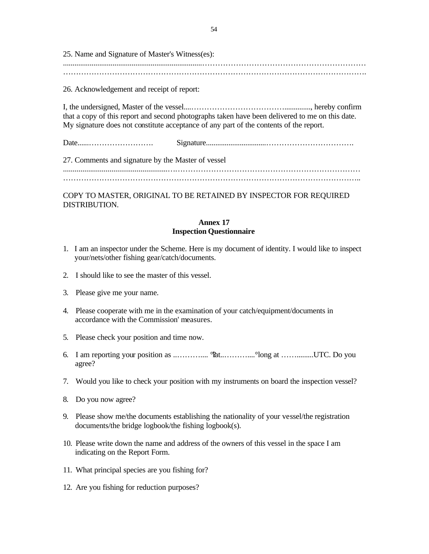25. Name and Signature of Master's Witness(es): .........................................................................………………………………………………………

……………………………………………………………………………………………………….

26. Acknowledgement and receipt of report:

I, the undersigned, Master of the vessel....……………………………….............., hereby confirm that a copy of this report and second photographs taken have been delivered to me on this date. My signature does not constitute acceptance of any part of the contents of the report.

Date......……………………. Signature................................…………………………….

27. Comments and signature by the Master of vessel ......................................................…………………………………………………………………

……………………………………………………………………………………………………..

COPY TO MASTER, ORIGINAL TO BE RETAINED BY INSPECTOR FOR REQUIRED DISTRIBUTION.

## **Annex 17 Inspection Questionnaire**

- 1. I am an inspector under the Scheme. Here is my document of identity. I would like to inspect your/nets/other fishing gear/catch/documents.
- 2. I should like to see the master of this vessel.
- 3. Please give me your name.
- 4. Please cooperate with me in the examination of your catch/equipment/documents in accordance with the Commission' measures.
- 5. Please check your position and time now.
- 6. I am reporting your position as ..……….... °?lat..………....°long at …….........UTC. Do you agree?
- 7. Would you like to check your position with my instruments on board the inspection vessel?
- 8. Do you now agree?
- 9. Please show me/the documents establishing the nationality of your vessel/the registration documents/the bridge logbook/the fishing logbook(s).
- 10. Please write down the name and address of the owners of this vessel in the space I am indicating on the Report Form.
- 11. What principal species are you fishing for?
- 12. Are you fishing for reduction purposes?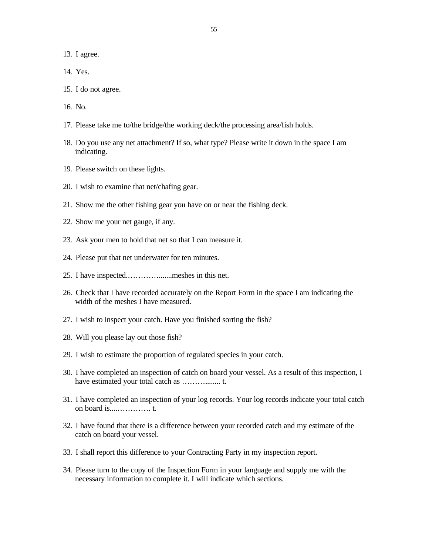13. I agree.

- 14. Yes.
- 15. I do not agree.
- 16. No.
- 17. Please take me to/the bridge/the working deck/the processing area/fish holds.
- 18. Do you use any net attachment? If so, what type? Please write it down in the space I am indicating.
- 19. Please switch on these lights.
- 20. I wish to examine that net/chafing gear.
- 21. Show me the other fishing gear you have on or near the fishing deck.
- 22. Show me your net gauge, if any.
- 23. Ask your men to hold that net so that I can measure it.
- 24. Please put that net underwater for ten minutes.
- 25. I have inspected.………….......meshes in this net.
- 26. Check that I have recorded accurately on the Report Form in the space I am indicating the width of the meshes I have measured.
- 27. I wish to inspect your catch. Have you finished sorting the fish?
- 28. Will you please lay out those fish?
- 29. I wish to estimate the proportion of regulated species in your catch.
- 30. I have completed an inspection of catch on board your vessel. As a result of this inspection, I have estimated your total catch as ………........ t.
- 31. I have completed an inspection of your log records. Your log records indicate your total catch on board is....…………. t.
- 32. I have found that there is a difference between your recorded catch and my estimate of the catch on board your vessel.
- 33. I shall report this difference to your Contracting Party in my inspection report.
- 34. Please turn to the copy of the Inspection Form in your language and supply me with the necessary information to complete it. I will indicate which sections.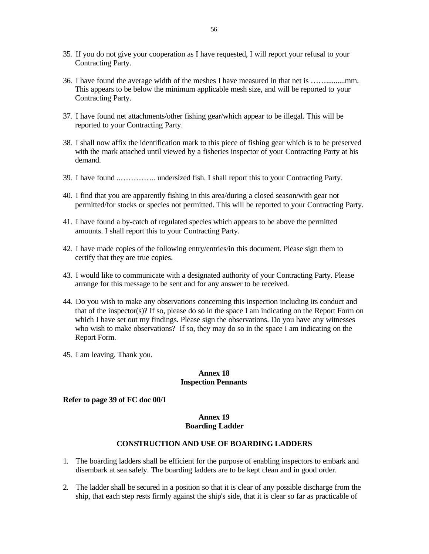- 35. If you do not give your cooperation as I have requested, I will report your refusal to your Contracting Party.
- 36. I have found the average width of the meshes I have measured in that net is ……..........mm. This appears to be below the minimum applicable mesh size, and will be reported to your Contracting Party.
- 37. I have found net attachments/other fishing gear/which appear to be illegal. This will be reported to your Contracting Party.
- 38. I shall now affix the identification mark to this piece of fishing gear which is to be preserved with the mark attached until viewed by a fisheries inspector of your Contracting Party at his demand.
- 39. I have found ..………….. undersized fish. I shall report this to your Contracting Party.
- 40. I find that you are apparently fishing in this area/during a closed season/with gear not permitted/for stocks or species not permitted. This will be reported to your Contracting Party.
- 41. I have found a by-catch of regulated species which appears to be above the permitted amounts. I shall report this to your Contracting Party.
- 42. I have made copies of the following entry/entries/in this document. Please sign them to certify that they are true copies.
- 43. I would like to communicate with a designated authority of your Contracting Party. Please arrange for this message to be sent and for any answer to be received.
- 44. Do you wish to make any observations concerning this inspection including its conduct and that of the inspector(s)? If so, please do so in the space I am indicating on the Report Form on which I have set out my findings. Please sign the observations. Do you have any witnesses who wish to make observations? If so, they may do so in the space I am indicating on the Report Form.
- 45. I am leaving. Thank you.

## **Annex 18 Inspection Pennants**

### **Refer to page 39 of FC doc 00/1**

## **Annex 19 Boarding Ladder**

## **CONSTRUCTION AND USE OF BOARDING LADDERS**

- 1. The boarding ladders shall be efficient for the purpose of enabling inspectors to embark and disembark at sea safely. The boarding ladders are to be kept clean and in good order.
- 2. The ladder shall be secured in a position so that it is clear of any possible discharge from the ship, that each step rests firmly against the ship's side, that it is clear so far as practicable of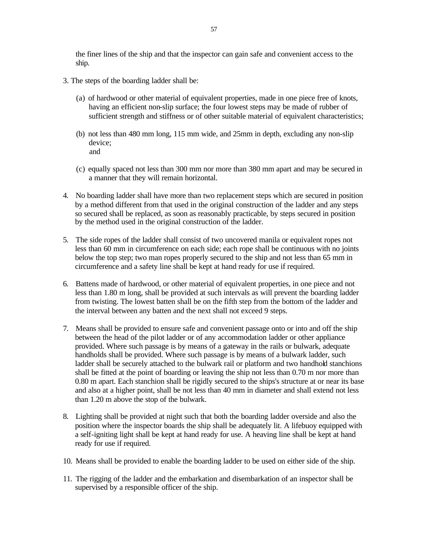the finer lines of the ship and that the inspector can gain safe and convenient access to the ship.

- 3. The steps of the boarding ladder shall be:
	- (a) of hardwood or other material of equivalent properties, made in one piece free of knots, having an efficient non-slip surface; the four lowest steps may be made of rubber of sufficient strength and stiffness or of other suitable material of equivalent characteristics;
	- (b) not less than 480 mm long, 115 mm wide, and 25mm in depth, excluding any non-slip device; and
	- (c) equally spaced not less than 300 mm nor more than 380 mm apart and may be secured in a manner that they will remain horizontal.
- 4. No boarding ladder shall have more than two replacement steps which are secured in position by a method different from that used in the original construction of the ladder and any steps so secured shall be replaced, as soon as reasonably practicable, by steps secured in position by the method used in the original construction of the ladder.
- 5. The side ropes of the ladder shall consist of two uncovered manila or equivalent ropes not less than 60 mm in circumference on each side; each rope shall be continuous with no joints below the top step; two man ropes properly secured to the ship and not less than 65 mm in circumference and a safety line shall be kept at hand ready for use if required.
- 6. Battens made of hardwood, or other material of equivalent properties, in one piece and not less than 1.80 m long, shall be provided at such intervals as will prevent the boarding ladder from twisting. The lowest batten shall be on the fifth step from the bottom of the ladder and the interval between any batten and the next shall not exceed 9 steps.
- 7. Means shall be provided to ensure safe and convenient passage onto or into and off the ship between the head of the pilot ladder or of any accommodation ladder or other appliance provided. Where such passage is by means of a gateway in the rails or bulwark, adequate handholds shall be provided. Where such passage is by means of a bulwark ladder, such ladder shall be securely attached to the bulwark rail or platform and two handhold stanchions shall be fitted at the point of boarding or leaving the ship not less than 0.70 m nor more than 0.80 m apart. Each stanchion shall be rigidly secured to the ships's structure at or near its base and also at a higher point, shall be not less than 40 mm in diameter and shall extend not less than 1.20 m above the stop of the bulwark.
- 8. Lighting shall be provided at night such that both the boarding ladder overside and also the position where the inspector boards the ship shall be adequately lit. A lifebuoy equipped with a self-igniting light shall be kept at hand ready for use. A heaving line shall be kept at hand ready for use if required.
- 10. Means shall be provided to enable the boarding ladder to be used on either side of the ship.
- 11. The rigging of the ladder and the embarkation and disembarkation of an inspector shall be supervised by a responsible officer of the ship.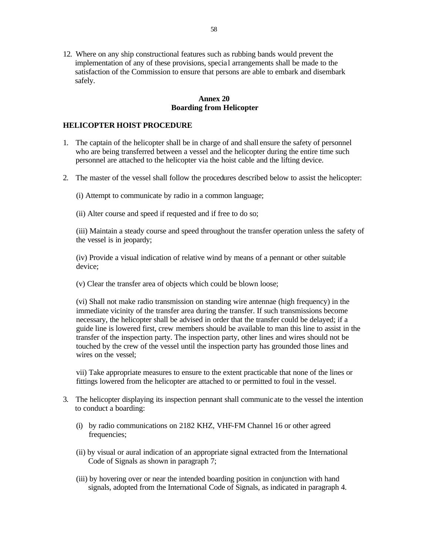12. Where on any ship constructional features such as rubbing bands would prevent the implementation of any of these provisions, specia l arrangements shall be made to the satisfaction of the Commission to ensure that persons are able to embark and disembark safely.

## **Annex 20 Boarding from Helicopter**

## **HELICOPTER HOIST PROCEDURE**

- 1. The captain of the helicopter shall be in charge of and shall ensure the safety of personnel who are being transferred between a vessel and the helicopter during the entire time such personnel are attached to the helicopter via the hoist cable and the lifting device.
- 2. The master of the vessel shall follow the procedures described below to assist the helicopter:

(i) Attempt to communicate by radio in a common language;

(ii) Alter course and speed if requested and if free to do so;

(iii) Maintain a steady course and speed throughout the transfer operation unless the safety of the vessel is in jeopardy;

(iv) Provide a visual indication of relative wind by means of a pennant or other suitable device;

(v) Clear the transfer area of objects which could be blown loose;

(vi) Shall not make radio transmission on standing wire antennae (high frequency) in the immediate vicinity of the transfer area during the transfer. If such transmissions become necessary, the helicopter shall be advised in order that the transfer could be delayed; if a guide line is lowered first, crew members should be available to man this line to assist in the transfer of the inspection party. The inspection party, other lines and wires should not be touched by the crew of the vessel until the inspection party has grounded those lines and wires on the vessel;

vii) Take appropriate measures to ensure to the extent practicable that none of the lines or fittings lowered from the helicopter are attached to or permitted to foul in the vessel.

- 3. The helicopter displaying its inspection pennant shall communic ate to the vessel the intention to conduct a boarding:
	- (i) by radio communications on 2182 KHZ, VHF-FM Channel 16 or other agreed frequencies;
	- (ii) by visual or aural indication of an appropriate signal extracted from the International Code of Signals as shown in paragraph 7;
	- (iii) by hovering over or near the intended boarding position in conjunction with hand signals, adopted from the International Code of Signals, as indicated in paragraph 4.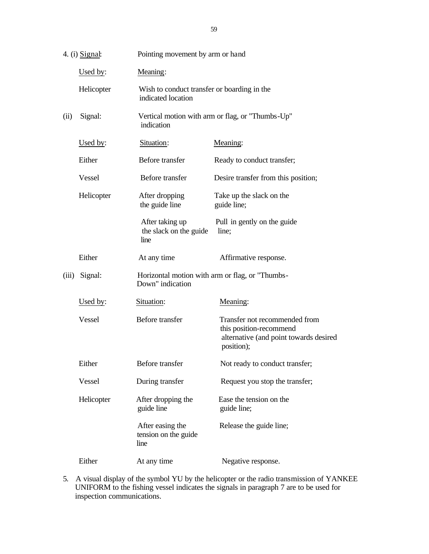|                 | 4. (i) Signal: | Pointing movement by arm or hand                                  |                                                                                                                  |  |
|-----------------|----------------|-------------------------------------------------------------------|------------------------------------------------------------------------------------------------------------------|--|
|                 | Used by:       | Meaning:                                                          |                                                                                                                  |  |
|                 | Helicopter     | Wish to conduct transfer or boarding in the<br>indicated location |                                                                                                                  |  |
| (ii)<br>Signal: |                | Vertical motion with arm or flag, or "Thumbs-Up"<br>indication    |                                                                                                                  |  |
|                 | Used by:       | Situation:                                                        | Meaning:                                                                                                         |  |
|                 | Either         | Before transfer                                                   | Ready to conduct transfer;                                                                                       |  |
|                 | Vessel         | Before transfer                                                   | Desire transfer from this position;                                                                              |  |
|                 | Helicopter     | After dropping<br>the guide line                                  | Take up the slack on the<br>guide line;                                                                          |  |
|                 |                | After taking up<br>the slack on the guide<br>line                 | Pull in gently on the guide<br>line;                                                                             |  |
|                 | Either         | At any time                                                       | Affirmative response.                                                                                            |  |
| (iii)           | Signal:        | Down" indication                                                  | Horizontal motion with arm or flag, or "Thumbs-                                                                  |  |
|                 | Used by:       | Situation:                                                        | Meaning:                                                                                                         |  |
|                 | Vessel         | Before transfer                                                   | Transfer not recommended from<br>this position-recommend<br>alternative (and point towards desired<br>position); |  |
|                 | Either         | Before transfer                                                   | Not ready to conduct transfer;                                                                                   |  |
|                 | Vessel         | During transfer                                                   | Request you stop the transfer;                                                                                   |  |
|                 | Helicopter     | After dropping the<br>guide line                                  | Ease the tension on the<br>guide line;                                                                           |  |
|                 |                | After easing the<br>tension on the guide<br>line                  | Release the guide line;                                                                                          |  |
|                 | Either         | At any time                                                       | Negative response.                                                                                               |  |

5. A visual display of the symbol YU by the helicopter or the radio transmission of YANKEE UNIFORM to the fishing vessel indicates the signals in paragraph 7 are to be used for inspection communications.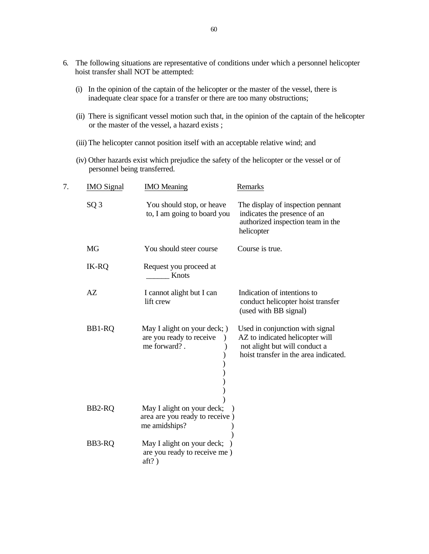- 6. The following situations are representative of conditions under which a personnel helicopter hoist transfer shall NOT be attempted:
	- (i) In the opinion of the captain of the helicopter or the master of the vessel, there is inadequate clear space for a transfer or there are too many obstructions;
	- (ii) There is significant vessel motion such that, in the opinion of the captain of the helicopter or the master of the vessel, a hazard exists ;
	- (iii) The helicopter cannot position itself with an acceptable relative wind; and
	- (iv) Other hazards exist which prejudice the safety of the helicopter or the vessel or of personnel being transferred.

| 7. | <b>IMO</b> Signal | <b>IMO</b> Meaning                                                            | Remarks                                                                                                                                      |
|----|-------------------|-------------------------------------------------------------------------------|----------------------------------------------------------------------------------------------------------------------------------------------|
|    | SQ <sub>3</sub>   | You should stop, or heave<br>to, I am going to board you                      | The display of inspection pennant<br>indicates the presence of an<br>authorized inspection team in the<br>helicopter                         |
|    | <b>MG</b>         | You should steer course                                                       | Course is true.                                                                                                                              |
|    | IK-RQ             | Request you proceed at<br>Knots                                               |                                                                                                                                              |
|    | AZ                | I cannot alight but I can<br>lift crew                                        | Indication of intentions to<br>conduct helicopter hoist transfer<br>(used with BB signal)                                                    |
|    | BB1-RQ            | May I alight on your deck; )<br>are you ready to receive<br>me forward?.      | Used in conjunction with signal<br>AZ to indicated helicopter will<br>not alight but will conduct a<br>hoist transfer in the area indicated. |
|    | BB2-RQ            | May I alight on your deck;<br>area are you ready to receive)<br>me amidships? |                                                                                                                                              |
|    | BB3-RQ            | May I alight on your deck;<br>are you ready to receive me)<br>$aff?$ )        |                                                                                                                                              |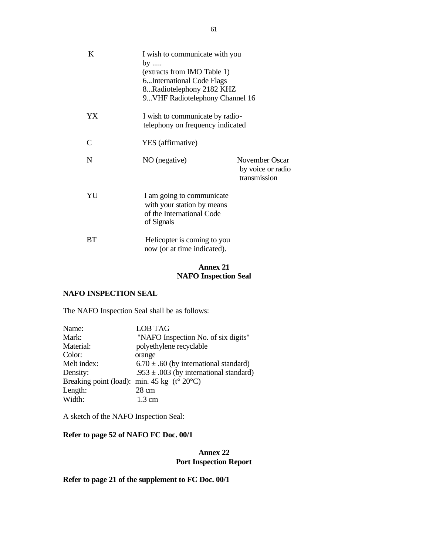| K           | I wish to communicate with you<br>by<br>(extracts from IMO Table 1)<br>6International Code Flags<br>8Radiotelephony 2182 KHZ<br>9 VHF Radiotelephony Channel 16 |                                                     |
|-------------|-----------------------------------------------------------------------------------------------------------------------------------------------------------------|-----------------------------------------------------|
| YX          | I wish to communicate by radio-<br>telephony on frequency indicated                                                                                             |                                                     |
| C           | YES (affirmative)                                                                                                                                               |                                                     |
| $\mathbf N$ | NO (negative)                                                                                                                                                   | November Oscar<br>by voice or radio<br>transmission |
| YU          | I am going to communicate<br>with your station by means<br>of the International Code<br>of Signals                                                              |                                                     |
| ВT          | Helicopter is coming to you<br>now (or at time indicated).                                                                                                      |                                                     |

# **Annex 21 NAFO Inspection Seal**

# **NAFO INSPECTION SEAL**

The NAFO Inspection Seal shall be as follows:

| Name:                                                       | <b>LOB TAG</b>                              |
|-------------------------------------------------------------|---------------------------------------------|
| Mark:                                                       | "NAFO Inspection No. of six digits"         |
| Material:                                                   | polyethylene recyclable                     |
| Color:                                                      | orange                                      |
| Melt index:                                                 | $6.70 \pm .60$ (by international standard)  |
| Density:                                                    | .953 $\pm$ .003 (by international standard) |
| Breaking point (load): min. 45 kg $(t^{\circ} 20^{\circ}C)$ |                                             |
| Length:                                                     | $28 \text{ cm}$                             |
| Width:                                                      | $1.3 \text{ cm}$                            |

A sketch of the NAFO Inspection Seal:

## **Refer to page 52 of NAFO FC Doc. 00/1**

## **Annex 22 Port Inspection Report**

# **Refer to page 21 of the supplement to FC Doc. 00/1**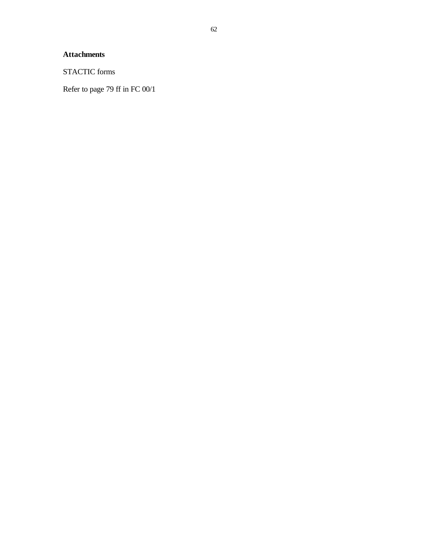# **Attachments**

STACTIC forms

Refer to page 79 ff in FC 00/1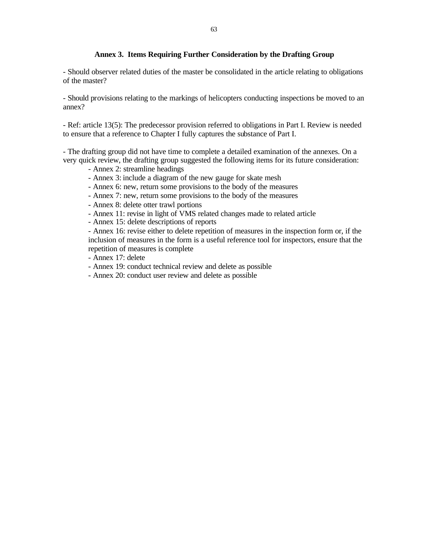## **Annex 3. Items Requiring Further Consideration by the Drafting Group**

- Should observer related duties of the master be consolidated in the article relating to obligations of the master?

- Should provisions relating to the markings of helicopters conducting inspections be moved to an annex?

- Ref: article 13(5): The predecessor provision referred to obligations in Part I. Review is needed to ensure that a reference to Chapter I fully captures the substance of Part I.

- The drafting group did not have time to complete a detailed examination of the annexes. On a very quick review, the drafting group suggested the following items for its future consideration:

- Annex 2: streamline headings
- Annex 3: include a diagram of the new gauge for skate mesh
- Annex 6: new, return some provisions to the body of the measures
- Annex 7: new, return some provisions to the body of the measures
- Annex 8: delete otter trawl portions
- Annex 11: revise in light of VMS related changes made to related article
- Annex 15: delete descriptions of reports

- Annex 16: revise either to delete repetition of measures in the inspection form or, if the inclusion of measures in the form is a useful reference tool for inspectors, ensure that the repetition of measures is complete

- Annex 17: delete
- Annex 19: conduct technical review and delete as possible
- Annex 20: conduct user review and delete as possible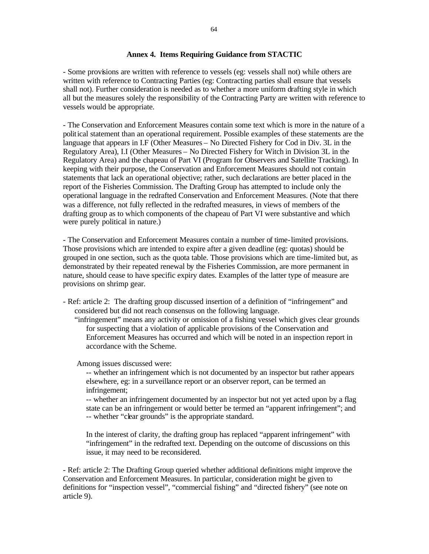## **Annex 4. Items Requiring Guidance from STACTIC**

- Some provisions are written with reference to vessels (eg: vessels shall not) while others are written with reference to Contracting Parties (eg: Contracting parties shall ensure that vessels shall not). Further consideration is needed as to whether a more uniform drafting style in which all but the measures solely the responsibility of the Contracting Party are written with reference to vessels would be appropriate.

- The Conservation and Enforcement Measures contain some text which is more in the nature of a political statement than an operational requirement. Possible examples of these statements are the language that appears in I.F (Other Measures – No Directed Fishery for Cod in Div. 3L in the Regulatory Area), I.I (Other Measures – No Directed Fishery for Witch in Division 3L in the Regulatory Area) and the chapeau of Part VI (Program for Observers and Satellite Tracking). In keeping with their purpose, the Conservation and Enforcement Measures should not contain statements that lack an operational objective; rather, such declarations are better placed in the report of the Fisheries Commission. The Drafting Group has attempted to include only the operational language in the redrafted Conservation and Enforcement Measures. (Note that there was a difference, not fully reflected in the redrafted measures, in views of members of the drafting group as to which components of the chapeau of Part VI were substantive and which were purely political in nature.)

- The Conservation and Enforcement Measures contain a number of time-limited provisions. Those provisions which are intended to expire after a given deadline (eg: quotas) should be grouped in one section, such as the quota table. Those provisions which are time-limited but, as demonstrated by their repeated renewal by the Fisheries Commission, are more permanent in nature, should cease to have specific expiry dates. Examples of the latter type of measure are provisions on shrimp gear.

- Ref: article 2: The drafting group discussed insertion of a definition of "infringement" and considered but did not reach consensus on the following language.
	- "infringement" means any activity or omission of a fishing vessel which gives clear grounds for suspecting that a violation of applicable provisions of the Conservation and Enforcement Measures has occurred and which will be noted in an inspection report in accordance with the Scheme.

Among issues discussed were:

-- whether an infringement which is not documented by an inspector but rather appears elsewhere, eg: in a surveillance report or an observer report, can be termed an infringement;

-- whether an infringement documented by an inspector but not yet acted upon by a flag state can be an infringement or would better be termed an "apparent infringement"; and -- whether "clear grounds" is the appropriate standard.

In the interest of clarity, the drafting group has replaced "apparent infringement" with "infringement" in the redrafted text. Depending on the outcome of discussions on this issue, it may need to be reconsidered.

- Ref: article 2: The Drafting Group queried whether additional definitions might improve the Conservation and Enforcement Measures. In particular, consideration might be given to definitions for "inspection vessel", "commercial fishing" and "directed fishery" (see note on article 9).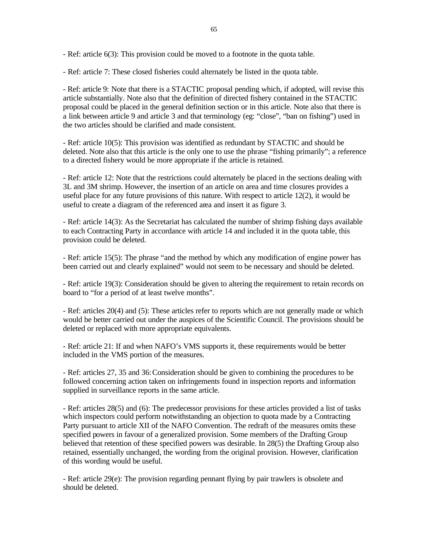- Ref: article 6(3): This provision could be moved to a footnote in the quota table.

- Ref: article 7: These closed fisheries could alternately be listed in the quota table.

- Ref: article 9: Note that there is a STACTIC proposal pending which, if adopted, will revise this article substantially. Note also that the definition of directed fishery contained in the STACTIC proposal could be placed in the general definition section or in this article. Note also that there is a link between article 9 and article 3 and that terminology (eg: "close", "ban on fishing") used in the two articles should be clarified and made consistent.

- Ref: article 10(5): This provision was identified as redundant by STACTIC and should be deleted. Note also that this article is the only one to use the phrase "fishing primarily"; a reference to a directed fishery would be more appropriate if the article is retained.

- Ref: article 12: Note that the restrictions could alternately be placed in the sections dealing with 3L and 3M shrimp. However, the insertion of an article on area and time closures provides a useful place for any future provisions of this nature. With respect to article  $12(2)$ , it would be useful to create a diagram of the referenced area and insert it as figure 3.

- Ref: article 14(3): As the Secretariat has calculated the number of shrimp fishing days available to each Contracting Party in accordance with article 14 and included it in the quota table, this provision could be deleted.

- Ref: article 15(5): The phrase "and the method by which any modification of engine power has been carried out and clearly explained" would not seem to be necessary and should be deleted.

- Ref: article 19(3): Consideration should be given to altering the requirement to retain records on board to "for a period of at least twelve months".

- Ref: articles 20(4) and (5): These articles refer to reports which are not generally made or which would be better carried out under the auspices of the Scientific Council. The provisions should be deleted or replaced with more appropriate equivalents.

- Ref: article 21: If and when NAFO's VMS supports it, these requirements would be better included in the VMS portion of the measures.

- Ref: articles 27, 35 and 36: Consideration should be given to combining the procedures to be followed concerning action taken on infringements found in inspection reports and information supplied in surveillance reports in the same article.

- Ref: articles 28(5) and (6): The predecessor provisions for these articles provided a list of tasks which inspectors could perform notwithstanding an objection to quota made by a Contracting Party pursuant to article XII of the NAFO Convention. The redraft of the measures omits these specified powers in favour of a generalized provision. Some members of the Drafting Group believed that retention of these specified powers was desirable. In 28(5) the Drafting Group also retained, essentially unchanged, the wording from the original provision. However, clarification of this wording would be useful.

- Ref: article 29(e): The provision regarding pennant flying by pair trawlers is obsolete and should be deleted.